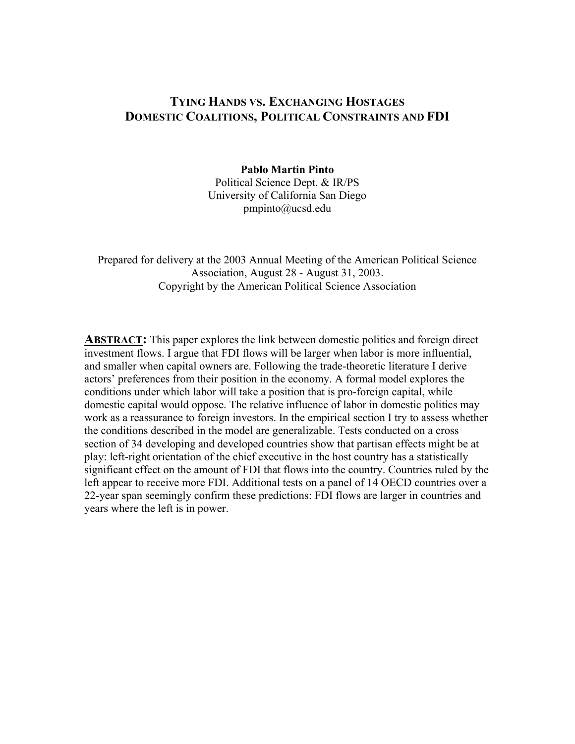# **TYING HANDS VS. EXCHANGING HOSTAGES DOMESTIC COALITIONS, POLITICAL CONSTRAINTS AND FDI**

#### **Pablo Martin Pinto**

Political Science Dept. & IR/PS University of California San Diego pmpinto@ucsd.edu

Prepared for delivery at the 2003 Annual Meeting of the American Political Science Association, August 28 - August 31, 2003. Copyright by the American Political Science Association

**ABSTRACT:** This paper explores the link between domestic politics and foreign direct investment flows. I argue that FDI flows will be larger when labor is more influential, and smaller when capital owners are. Following the trade-theoretic literature I derive actors' preferences from their position in the economy. A formal model explores the conditions under which labor will take a position that is pro-foreign capital, while domestic capital would oppose. The relative influence of labor in domestic politics may work as a reassurance to foreign investors. In the empirical section I try to assess whether the conditions described in the model are generalizable. Tests conducted on a cross section of 34 developing and developed countries show that partisan effects might be at play: left-right orientation of the chief executive in the host country has a statistically significant effect on the amount of FDI that flows into the country. Countries ruled by the left appear to receive more FDI. Additional tests on a panel of 14 OECD countries over a 22-year span seemingly confirm these predictions: FDI flows are larger in countries and years where the left is in power.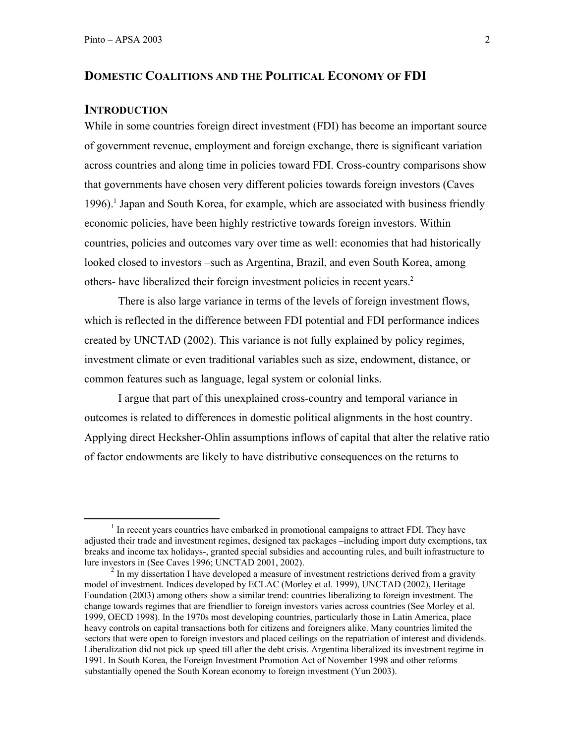#### **DOMESTIC COALITIONS AND THE POLITICAL ECONOMY OF FDI**

#### **INTRODUCTION**

While in some countries foreign direct investment (FDI) has become an important source of government revenue, employment and foreign exchange, there is significant variation across countries and along time in policies toward FDI. Cross-country comparisons show that governments have chosen very different policies towards foreign investors (Caves 1996).<sup>1</sup> Japan and South Korea, for example, which are associated with business friendly economic policies, have been highly restrictive towards foreign investors. Within countries, policies and outcomes vary over time as well: economies that had historically looked closed to investors –such as Argentina, Brazil, and even South Korea, among others- have liberalized their foreign investment policies in recent years.<sup>2</sup>

There is also large variance in terms of the levels of foreign investment flows, which is reflected in the difference between FDI potential and FDI performance indices created by UNCTAD (2002). This variance is not fully explained by policy regimes, investment climate or even traditional variables such as size, endowment, distance, or common features such as language, legal system or colonial links.

I argue that part of this unexplained cross-country and temporal variance in outcomes is related to differences in domestic political alignments in the host country. Applying direct Hecksher-Ohlin assumptions inflows of capital that alter the relative ratio of factor endowments are likely to have distributive consequences on the returns to

 $\frac{1}{1}$  $<sup>1</sup>$  In recent years countries have embarked in promotional campaigns to attract FDI. They have</sup> adjusted their trade and investment regimes, designed tax packages –including import duty exemptions, tax breaks and income tax holidays-, granted special subsidies and accounting rules, and built infrastructure to lure investors in (See Caves 1996; UNCTAD 2001, 2002).

 $2 \text{ In }$  my dissertation I have developed a measure of investment restrictions derived from a gravity model of investment. Indices developed by ECLAC (Morley et al. 1999), UNCTAD (2002), Heritage Foundation (2003) among others show a similar trend: countries liberalizing to foreign investment. The change towards regimes that are friendlier to foreign investors varies across countries (See Morley et al. 1999, OECD 1998). In the 1970s most developing countries, particularly those in Latin America, place heavy controls on capital transactions both for citizens and foreigners alike. Many countries limited the sectors that were open to foreign investors and placed ceilings on the repatriation of interest and dividends. Liberalization did not pick up speed till after the debt crisis. Argentina liberalized its investment regime in 1991. In South Korea, the Foreign Investment Promotion Act of November 1998 and other reforms substantially opened the South Korean economy to foreign investment (Yun 2003).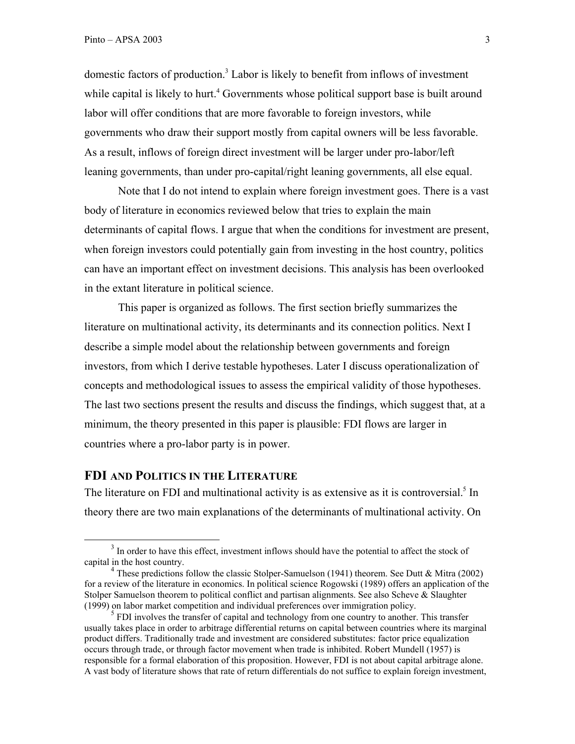domestic factors of production.<sup>3</sup> Labor is likely to benefit from inflows of investment while capital is likely to hurt.<sup>4</sup> Governments whose political support base is built around labor will offer conditions that are more favorable to foreign investors, while governments who draw their support mostly from capital owners will be less favorable. As a result, inflows of foreign direct investment will be larger under pro-labor/left leaning governments, than under pro-capital/right leaning governments, all else equal.

Note that I do not intend to explain where foreign investment goes. There is a vast body of literature in economics reviewed below that tries to explain the main determinants of capital flows. I argue that when the conditions for investment are present, when foreign investors could potentially gain from investing in the host country, politics can have an important effect on investment decisions. This analysis has been overlooked in the extant literature in political science.

This paper is organized as follows. The first section briefly summarizes the literature on multinational activity, its determinants and its connection politics. Next I describe a simple model about the relationship between governments and foreign investors, from which I derive testable hypotheses. Later I discuss operationalization of concepts and methodological issues to assess the empirical validity of those hypotheses. The last two sections present the results and discuss the findings, which suggest that, at a minimum, the theory presented in this paper is plausible: FDI flows are larger in countries where a pro-labor party is in power.

## **FDI AND POLITICS IN THE LITERATURE**

The literature on FDI and multinational activity is as extensive as it is controversial.<sup>5</sup> In theory there are two main explanations of the determinants of multinational activity. On

 $\frac{3}{3}$  $3$  In order to have this effect, investment inflows should have the potential to affect the stock of capital in the host country.

<sup>&</sup>lt;sup>4</sup> These predictions follow the classic Stolper-Samuelson (1941) theorem. See Dutt & Mitra (2002) for a review of the literature in economics. In political science Rogowski (1989) offers an application of the Stolper Samuelson theorem to political conflict and partisan alignments. See also Scheve & Slaughter (1999) on labor market competition and individual preferences over immigration policy.

<sup>&</sup>lt;sup>5</sup> FDI involves the transfer of capital and technology from one country to another. This transfer usually takes place in order to arbitrage differential returns on capital between countries where its marginal product differs. Traditionally trade and investment are considered substitutes: factor price equalization occurs through trade, or through factor movement when trade is inhibited. Robert Mundell (1957) is responsible for a formal elaboration of this proposition. However, FDI is not about capital arbitrage alone. A vast body of literature shows that rate of return differentials do not suffice to explain foreign investment,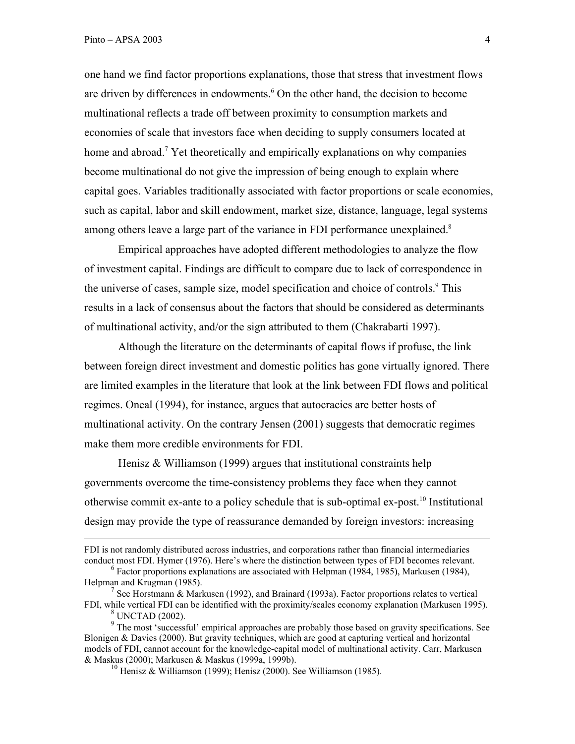one hand we find factor proportions explanations, those that stress that investment flows are driven by differences in endowments.<sup>6</sup> On the other hand, the decision to become multinational reflects a trade off between proximity to consumption markets and economies of scale that investors face when deciding to supply consumers located at home and abroad.<sup>7</sup> Yet theoretically and empirically explanations on why companies become multinational do not give the impression of being enough to explain where capital goes. Variables traditionally associated with factor proportions or scale economies, such as capital, labor and skill endowment, market size, distance, language, legal systems among others leave a large part of the variance in FDI performance unexplained.<sup>8</sup>

Empirical approaches have adopted different methodologies to analyze the flow of investment capital. Findings are difficult to compare due to lack of correspondence in the universe of cases, sample size, model specification and choice of controls.<sup>9</sup> This results in a lack of consensus about the factors that should be considered as determinants of multinational activity, and/or the sign attributed to them (Chakrabarti 1997).

Although the literature on the determinants of capital flows if profuse, the link between foreign direct investment and domestic politics has gone virtually ignored. There are limited examples in the literature that look at the link between FDI flows and political regimes. Oneal (1994), for instance, argues that autocracies are better hosts of multinational activity. On the contrary Jensen (2001) suggests that democratic regimes make them more credible environments for FDI.

Henisz & Williamson (1999) argues that institutional constraints help governments overcome the time-consistency problems they face when they cannot otherwise commit ex-ante to a policy schedule that is sub-optimal ex-post.10 Institutional design may provide the type of reassurance demanded by foreign investors: increasing

FDI is not randomly distributed across industries, and corporations rather than financial intermediaries conduct most FDI. Hymer (1976). Here's where the distinction between types of FDI becomes relevant.

 $6$  Factor proportions explanations are associated with Helpman (1984, 1985), Markusen (1984), Helpman and Krugman (1985).

<sup>&</sup>lt;sup>7</sup> See Horstmann & Markusen (1992), and Brainard (1993a). Factor proportions relates to vertical FDI, while vertical FDI can be identified with the proximity/scales economy explanation (Markusen 1995).

<sup>8</sup> UNCTAD (2002).

 $9$  The most 'successful' empirical approaches are probably those based on gravity specifications. See Blonigen & Davies (2000). But gravity techniques, which are good at capturing vertical and horizontal models of FDI, cannot account for the knowledge-capital model of multinational activity. Carr, Markusen & Maskus (2000); Markusen & Maskus (1999a, 1999b).

<sup>&</sup>lt;sup>10</sup> Henisz & Williamson (1999); Henisz (2000). See Williamson (1985).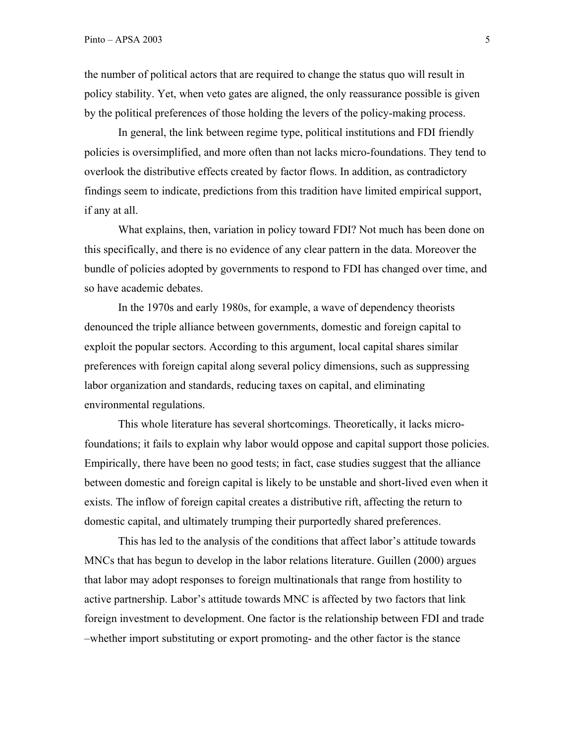the number of political actors that are required to change the status quo will result in policy stability. Yet, when veto gates are aligned, the only reassurance possible is given by the political preferences of those holding the levers of the policy-making process.

In general, the link between regime type, political institutions and FDI friendly policies is oversimplified, and more often than not lacks micro-foundations. They tend to overlook the distributive effects created by factor flows. In addition, as contradictory findings seem to indicate, predictions from this tradition have limited empirical support, if any at all.

What explains, then, variation in policy toward FDI? Not much has been done on this specifically, and there is no evidence of any clear pattern in the data. Moreover the bundle of policies adopted by governments to respond to FDI has changed over time, and so have academic debates.

In the 1970s and early 1980s, for example, a wave of dependency theorists denounced the triple alliance between governments, domestic and foreign capital to exploit the popular sectors. According to this argument, local capital shares similar preferences with foreign capital along several policy dimensions, such as suppressing labor organization and standards, reducing taxes on capital, and eliminating environmental regulations.

This whole literature has several shortcomings. Theoretically, it lacks microfoundations; it fails to explain why labor would oppose and capital support those policies. Empirically, there have been no good tests; in fact, case studies suggest that the alliance between domestic and foreign capital is likely to be unstable and short-lived even when it exists. The inflow of foreign capital creates a distributive rift, affecting the return to domestic capital, and ultimately trumping their purportedly shared preferences.

This has led to the analysis of the conditions that affect labor's attitude towards MNCs that has begun to develop in the labor relations literature. Guillen (2000) argues that labor may adopt responses to foreign multinationals that range from hostility to active partnership. Labor's attitude towards MNC is affected by two factors that link foreign investment to development. One factor is the relationship between FDI and trade –whether import substituting or export promoting- and the other factor is the stance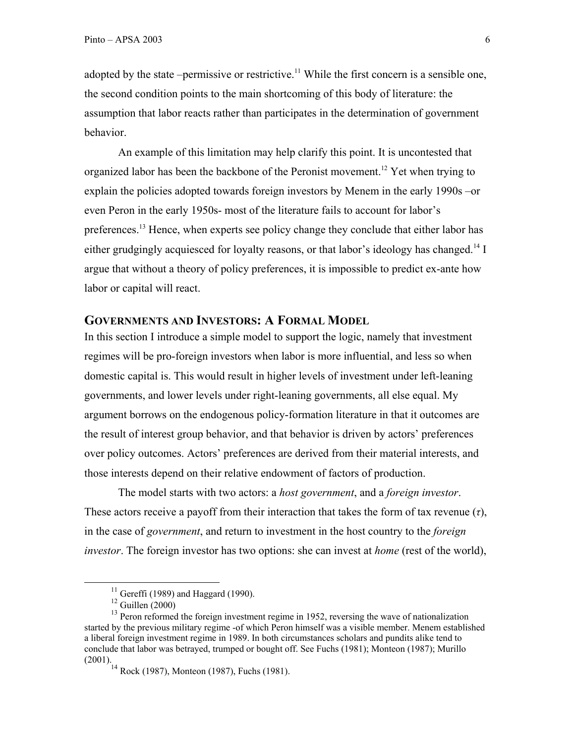adopted by the state –permissive or restrictive.<sup>11</sup> While the first concern is a sensible one, the second condition points to the main shortcoming of this body of literature: the assumption that labor reacts rather than participates in the determination of government behavior.

An example of this limitation may help clarify this point. It is uncontested that organized labor has been the backbone of the Peronist movement.12 Yet when trying to explain the policies adopted towards foreign investors by Menem in the early 1990s –or even Peron in the early 1950s- most of the literature fails to account for labor's preferences.<sup>13</sup> Hence, when experts see policy change they conclude that either labor has either grudgingly acquiesced for loyalty reasons, or that labor's ideology has changed.<sup>14</sup> I argue that without a theory of policy preferences, it is impossible to predict ex-ante how labor or capital will react.

### **GOVERNMENTS AND INVESTORS: A FORMAL MODEL**

In this section I introduce a simple model to support the logic, namely that investment regimes will be pro-foreign investors when labor is more influential, and less so when domestic capital is. This would result in higher levels of investment under left-leaning governments, and lower levels under right-leaning governments, all else equal. My argument borrows on the endogenous policy-formation literature in that it outcomes are the result of interest group behavior, and that behavior is driven by actors' preferences over policy outcomes. Actors' preferences are derived from their material interests, and those interests depend on their relative endowment of factors of production.

The model starts with two actors: a *host government*, and a *foreign investor*. These actors receive a payoff from their interaction that takes the form of tax revenue (*τ*), in the case of *government*, and return to investment in the host country to the *foreign investor*. The foreign investor has two options: she can invest at *home* (rest of the world),

 $11$  Gereffi (1989) and Haggard (1990).

 $12$  Guillen (2000)

<sup>&</sup>lt;sup>13</sup> Peron reformed the foreign investment regime in 1952, reversing the wave of nationalization started by the previous military regime -of which Peron himself was a visible member. Menem established a liberal foreign investment regime in 1989. In both circumstances scholars and pundits alike tend to conclude that labor was betrayed, trumped or bought off. See Fuchs (1981); Monteon (1987); Murillo (2001).

 $14$  Rock (1987), Monteon (1987), Fuchs (1981).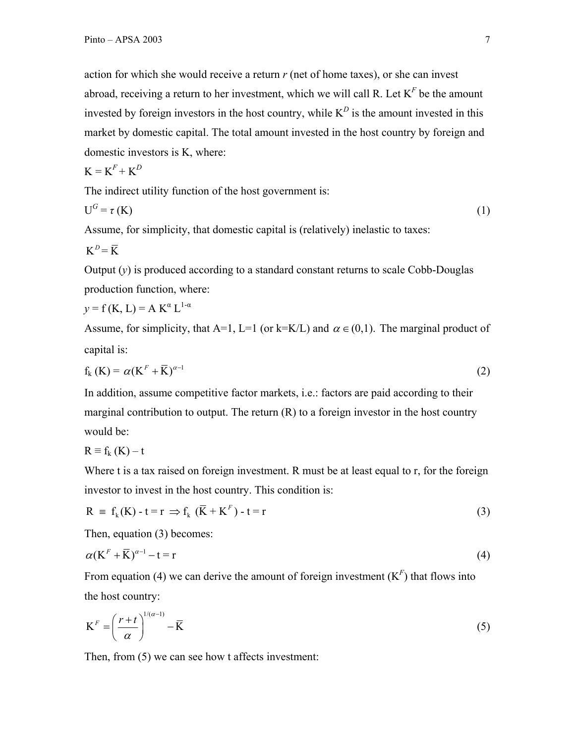action for which she would receive a return *r* (net of home taxes), or she can invest abroad, receiving a return to her investment, which we will call R. Let  $K<sup>F</sup>$  be the amount invested by foreign investors in the host country, while  $K^D$  is the amount invested in this market by domestic capital. The total amount invested in the host country by foreign and domestic investors is K, where:

$$
\mathbf{K} = \mathbf{K}^F + \mathbf{K}^D
$$

The indirect utility function of the host government is:

$$
U^G = \tau(K) \tag{1}
$$

Assume, for simplicity, that domestic capital is (relatively) inelastic to taxes:

$$
K^D = \overline{K}
$$

Output (*y*) is produced according to a standard constant returns to scale Cobb-Douglas production function, where:

$$
y = f(K, L) = A K^{\alpha} L^{1-\alpha}
$$

Assume, for simplicity, that A=1, L=1 (or k=K/L) and  $\alpha \in (0,1)$ . The marginal product of capital is:

$$
f_{k}(K) = \alpha (K^{F} + \overline{K})^{\alpha - 1}
$$
 (2)

In addition, assume competitive factor markets, i.e.: factors are paid according to their marginal contribution to output. The return (R) to a foreign investor in the host country would be:

 $R \equiv f_k(K) - t$ 

Where t is a tax raised on foreign investment. R must be at least equal to r, for the foreign investor to invest in the host country. This condition is:

$$
R = f_k(K) - t = r \Rightarrow f_k(\overline{K} + K^F) - t = r \tag{3}
$$

Then, equation (3) becomes:

$$
\alpha (K^F + \overline{K})^{\alpha - 1} - t = r \tag{4}
$$

From equation (4) we can derive the amount of foreign investment  $(K<sup>F</sup>)$  that flows into the host country:

$$
\mathbf{K}^F = \left(\frac{r+t}{\alpha}\right)^{1/(\alpha-1)} - \overline{\mathbf{K}}\tag{5}
$$

Then, from (5) we can see how t affects investment: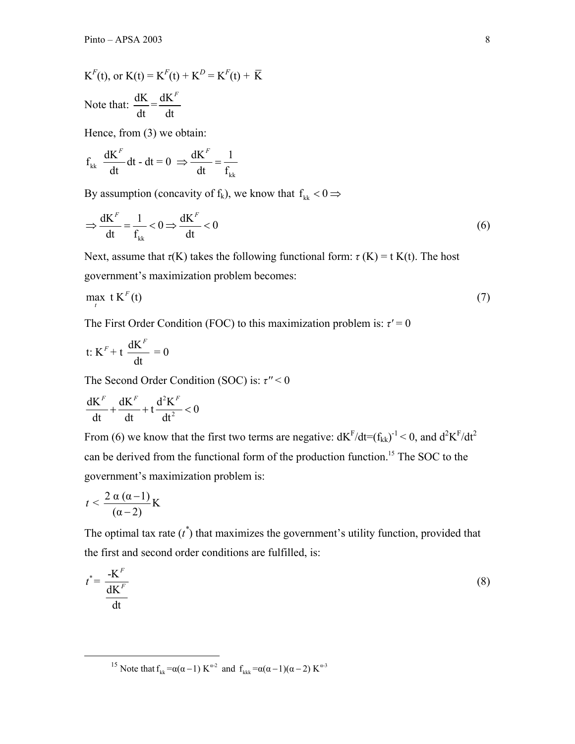$K^F(t)$ , or  $K(t) = K^F(t) + K^D = K^F(t) + \bar{K}$ Note that:  $\frac{dK}{dt} = \frac{dK^F}{dt}$ 

Hence, from (3) we obtain:

$$
f_{kk}
$$
  $\frac{dK^F}{dt} dt - dt = 0 \implies \frac{dK^F}{dt} = \frac{1}{f_{kk}}$ 

By assumption (concavity of  $f_k$ ), we know that  $f_{kk} < 0 \Rightarrow$ 

$$
\Rightarrow \frac{dK^F}{dt} = \frac{1}{f_{kk}} < 0 \Rightarrow \frac{dK^F}{dt} < 0
$$
\n(6)

Next, assume that  $\tau(K)$  takes the following functional form:  $\tau(K) = t K(t)$ . The host government's maximization problem becomes:

$$
\max_{t} t K^{F}(t) \tag{7}
$$

The First Order Condition (FOC) to this maximization problem is:  $\tau' = 0$ 

$$
t: K^F + t \frac{dK^F}{dt} = 0
$$

The Second Order Condition (SOC) is: *τ''* < 0

$$
\frac{dK^{\it F}}{dt}+\frac{dK^{\it F}}{dt}+t\frac{d^2K^{\it F}}{dt^2}<0
$$

From (6) we know that the first two terms are negative:  $dK^F/dt = (f_{kk})^{-1} < 0$ , and  $d^2K^F/dt^2$ can be derived from the functional form of the production function.<sup>15</sup> The SOC to the government's maximization problem is:

$$
t < \frac{2\,\alpha\,(\alpha-1)}{(\alpha-2)}\,\mathrm{K}
$$

The optimal tax rate  $(t^*)$  that maximizes the government's utility function, provided that the first and second order conditions are fulfilled, is:

$$
t^* = \frac{-\mathbf{K}^F}{\frac{\mathbf{d}\mathbf{K}^F}{\mathbf{d}t}}\tag{8}
$$

<sup>15</sup> Note that  $f_{kk} = \alpha(\alpha - 1) K^{\alpha}$  and  $f_{kk} = \alpha(\alpha - 1)(\alpha - 2) K^{\alpha}$ <sup>3</sup>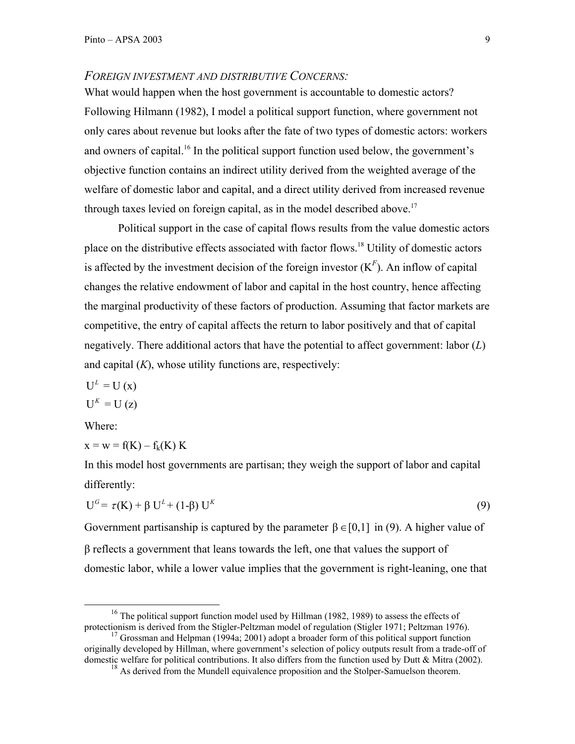#### *FOREIGN INVESTMENT AND DISTRIBUTIVE CONCERNS:*

What would happen when the host government is accountable to domestic actors? Following Hilmann (1982), I model a political support function, where government not only cares about revenue but looks after the fate of two types of domestic actors: workers and owners of capital.<sup>16</sup> In the political support function used below, the government's objective function contains an indirect utility derived from the weighted average of the welfare of domestic labor and capital, and a direct utility derived from increased revenue through taxes levied on foreign capital, as in the model described above.<sup>17</sup>

Political support in the case of capital flows results from the value domestic actors place on the distributive effects associated with factor flows.18 Utility of domestic actors is affected by the investment decision of the foreign investor  $(K<sup>F</sup>)$ . An inflow of capital changes the relative endowment of labor and capital in the host country, hence affecting the marginal productivity of these factors of production. Assuming that factor markets are competitive, the entry of capital affects the return to labor positively and that of capital negatively. There additional actors that have the potential to affect government: labor (*L*) and capital (*K*), whose utility functions are, respectively:

$$
U^{L} = U(x)
$$

$$
U^{K} = U (z)
$$

Where:

$$
x = w = f(K) - f_k(K) K
$$

In this model host governments are partisan; they weigh the support of labor and capital differently:

$$
U^G = \tau(K) + \beta U^L + (1-\beta) U^K
$$
\n
$$
(9)
$$

Government partisanship is captured by the parameter  $\beta \in [0,1]$  in (9). A higher value of β reflects a government that leans towards the left, one that values the support of domestic labor, while a lower value implies that the government is right-leaning, one that

<sup>&</sup>lt;sup>16</sup> The political support function model used by Hillman (1982, 1989) to assess the effects of protectionism is derived from the Stigler-Peltzman model of regulation (Stigler 1971; Peltzman 1976).

<sup>&</sup>lt;sup>17</sup> Grossman and Helpman (1994a; 2001) adopt a broader form of this political support function originally developed by Hillman, where government's selection of policy outputs result from a trade-off of domestic welfare for political contributions. It also differs from the function used by Dutt & Mitra (2002).

<sup>&</sup>lt;sup>18</sup> As derived from the Mundell equivalence proposition and the Stolper-Samuelson theorem.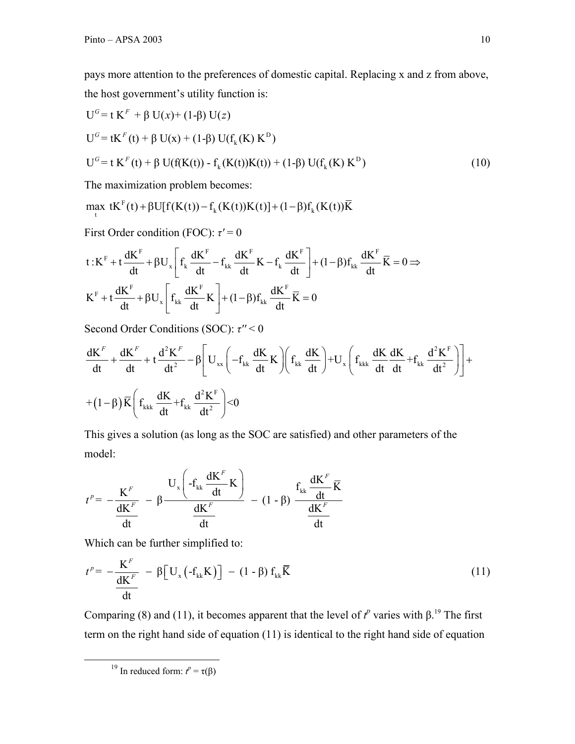pays more attention to the preferences of domestic capital. Replacing x and z from above, the host government's utility function is:

U = t K + β U( )+ (1-β) U( ) *G F x z* <sup>D</sup> U = tK (t) + k β U(x) + (1-β) U(f (K) K ) *G F* <sup>D</sup> U = t K (t) + k k β U(f(K(t)) - f (K(t))K(t)) + (1-β) U(f (K) K ) *G F* (10)

The maximization problem becomes:

$$
\max_{t} tK^{F}(t) + \beta U[f(K(t)) - f_{k}(K(t))K(t)] + (1-\beta)f_{k}(K(t))\overline{K}
$$

First Order condition (FOC): *τ'* = 0

$$
t: K^{F}+t\frac{dK^{F}}{dt}+\beta U_{x}\Biggl[f_{k}\frac{dK^{F}}{dt}-f_{kk}\frac{dK^{F}}{dt}K-f_{k}\frac{dK^{F}}{dt}\Biggr]+(1-\beta)f_{kk}\frac{dK^{F}}{dt}\overline{K}=0\Rightarrow \\ K^{F}+t\frac{dK^{F}}{dt}+\beta U_{x}\Biggl[f_{kk}\frac{dK^{F}}{dt}K\Biggr]+(1-\beta)f_{kk}\frac{dK^{F}}{dt}\overline{K}=0
$$

Second Order Conditions (SOC): *τ''* < 0

$$
\begin{aligned} &\frac{dK^{\it F}}{dt}+\frac{dK^{\it F}}{dt}+t\frac{d^2K^{\it F}}{dt^2}-\beta\Bigg[U_{xx}\Bigg(-f_{kk}\,\frac{dK}{dt}\,K\Bigg)\Bigg(f_{kk}\,\frac{dK}{dt}\Bigg)+U_x\Bigg(f_{kkk}\,\frac{dK}{dt}\frac{dK}{dt}+f_{kk}\,\frac{d^2K^{\it F}}{dt^2}\Bigg)\Bigg]+\\ &+(1-\beta)\,\overline{K}\Bigg(f_{kkk}\,\frac{dK}{dt}+f_{kk}\,\frac{d^2K^{\it F}}{dt^2}\Bigg)<&0 \end{aligned}
$$

This gives a solution (as long as the SOC are satisfied) and other parameters of the model:

$$
t^{p} = -\frac{K^{F}}{\frac{dK^{F}}{dt}} - \beta \frac{U_{x}\left(-f_{kk}\frac{dK^{F}}{dt}K\right)}{\frac{dK^{F}}{dt}} - (1-\beta)\frac{f_{kk}\frac{dK^{F}}{dt}\overline{K}}{\frac{dK^{F}}{dt}}
$$

Which can be further simplified to:

$$
t^{p} = -\frac{K^{F}}{\frac{dK^{F}}{dt}} - \beta \left[ U_{x} \left( -f_{kk} K \right) \right] - (1 - \beta) f_{kk} \overline{K}
$$
 (11)

Comparing (8) and (11), it becomes apparent that the level of  $t^p$  varies with  $\beta$ <sup>19</sup>. The first term on the right hand side of equation (11) is identical to the right hand side of equation

<sup>&</sup>lt;sup>19</sup> In reduced form:  $t^p = \tau(\beta)$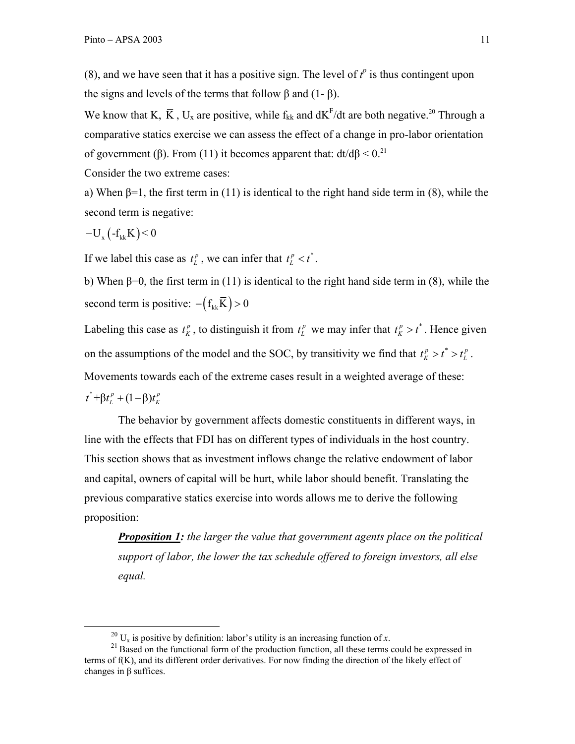(8), and we have seen that it has a positive sign. The level of  $t^p$  is thus contingent upon the signs and levels of the terms that follow  $\beta$  and  $(1-\beta)$ .

We know that K,  $\bar{K}$ , U<sub>x</sub> are positive, while f<sub>kk</sub> and  $dK^F/dt$  are both negative.<sup>20</sup> Through a comparative statics exercise we can assess the effect of a change in pro-labor orientation of government (β). From (11) it becomes apparent that:  $dt/d\beta < 0.^{21}$ 

Consider the two extreme cases:

a) When  $\beta=1$ , the first term in (11) is identical to the right hand side term in (8), while the second term is negative:

$$
-U_{x}\left(-f_{kk}K\right) < 0
$$

If we label this case as  $t_L^p$ , we can infer that  $t_L^p < t^*$ .

b) When  $\beta=0$ , the first term in (11) is identical to the right hand side term in (8), while the second term is positive:  $-(f_{kk}\overline{K}) > 0$ 

Labeling this case as  $t_K^p$ , to distinguish it from  $t_L^p$  we may infer that  $t_K^p > t^*$ . Hence given on the assumptions of the model and the SOC, by transitivity we find that  $t_K^p > t^* > t_L^p$ . Movements towards each of the extreme cases result in a weighted average of these:  $t^* + \beta t_L^p + (1 - \beta) t_K^p$ 

The behavior by government affects domestic constituents in different ways, in line with the effects that FDI has on different types of individuals in the host country. This section shows that as investment inflows change the relative endowment of labor and capital, owners of capital will be hurt, while labor should benefit. Translating the previous comparative statics exercise into words allows me to derive the following proposition:

*Proposition 1: the larger the value that government agents place on the political support of labor, the lower the tax schedule offered to foreign investors, all else equal.* 

<sup>&</sup>lt;sup>20</sup> U<sub>x</sub> is positive by definition: labor's utility is an increasing function of *x*.<br><sup>21</sup> Based on the functional form of the production function, all these terms could be expressed in terms of f(K), and its different order derivatives. For now finding the direction of the likely effect of changes in β suffices.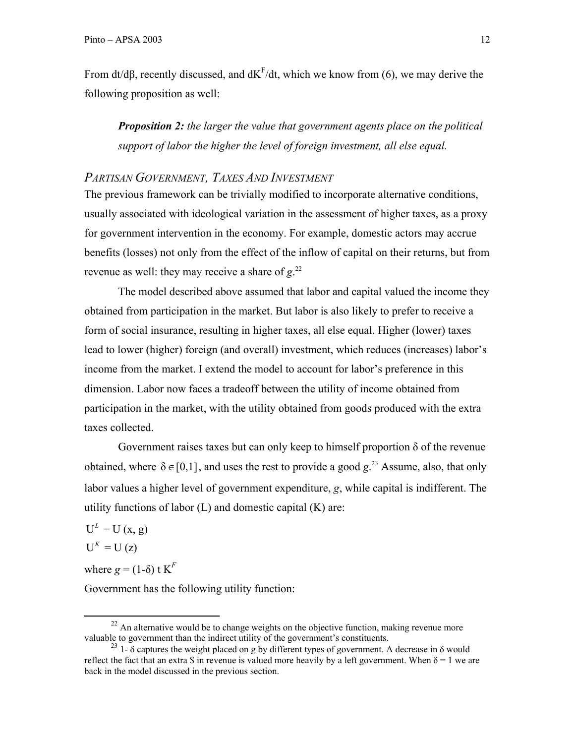From dt/d $\beta$ , recently discussed, and dK<sup>F</sup>/dt, which we know from (6), we may derive the following proposition as well:

*Proposition 2: the larger the value that government agents place on the political support of labor the higher the level of foreign investment, all else equal.* 

## *PARTISAN GOVERNMENT, TAXES AND INVESTMENT*

The previous framework can be trivially modified to incorporate alternative conditions, usually associated with ideological variation in the assessment of higher taxes, as a proxy for government intervention in the economy. For example, domestic actors may accrue benefits (losses) not only from the effect of the inflow of capital on their returns, but from revenue as well: they may receive a share of *g*. 22

The model described above assumed that labor and capital valued the income they obtained from participation in the market. But labor is also likely to prefer to receive a form of social insurance, resulting in higher taxes, all else equal. Higher (lower) taxes lead to lower (higher) foreign (and overall) investment, which reduces (increases) labor's income from the market. I extend the model to account for labor's preference in this dimension. Labor now faces a tradeoff between the utility of income obtained from participation in the market, with the utility obtained from goods produced with the extra taxes collected.

Government raises taxes but can only keep to himself proportion  $\delta$  of the revenue obtained, where  $\delta \in [0,1]$ , and uses the rest to provide a good  $g^{23}$ . Assume, also, that only labor values a higher level of government expenditure, *g*, while capital is indifferent. The utility functions of labor  $(L)$  and domestic capital  $(K)$  are:

 $U^L = U(x, g)$  $U^{K} = U (z)$ 

where  $g = (1-\delta)$  t  $K^F$ 

Government has the following utility function:

 $^{22}$  An alternative would be to change weights on the objective function, making revenue more valuable to government than the indirect utility of the government's constituents.

<sup>&</sup>lt;sup>23</sup> 1- δ captures the weight placed on g by different types of government. A decrease in δ would reflect the fact that an extra \$ in revenue is valued more heavily by a left government. When  $\delta = 1$  we are back in the model discussed in the previous section.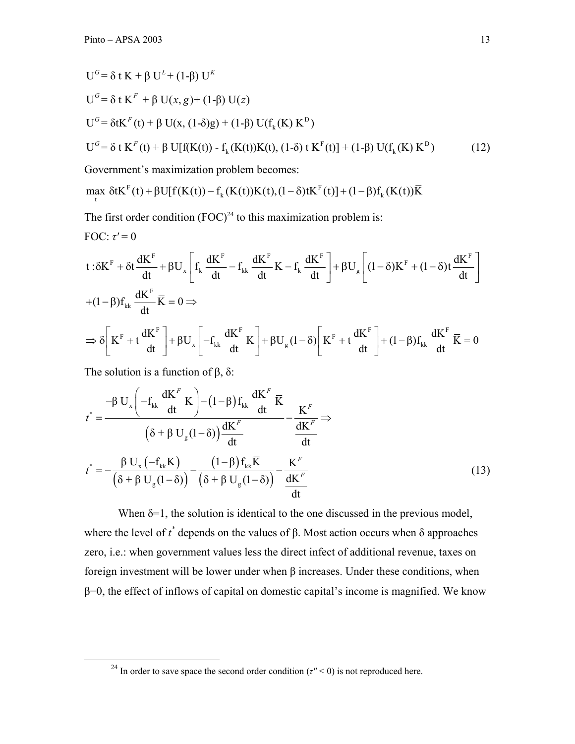$$
U^{G} = \delta t K + \beta U^{L} + (1-\beta) U^{K}
$$
  
\n
$$
U^{G} = \delta t K^{F} + \beta U(x, g) + (1-\beta) U(z)
$$
  
\n
$$
U^{G} = \delta t K^{F}(t) + \beta U(x, (1-\delta)g) + (1-\beta) U(f_{k}(K) K^{D})
$$
  
\n
$$
U^{G} = \delta t K^{F}(t) + \beta U[f(K(t)) - f_{k}(K(t))K(t), (1-\delta) t K^{F}(t)] + (1-\beta) U(f_{k}(K) K^{D})
$$
\n(12)

Government's maximization problem becomes:

$$
\max_{t} \delta t K^{F}(t) + \beta U[f(K(t)) - f_{k}(K(t))K(t), (1-\delta)tK^{F}(t)] + (1-\beta)f_{k}(K(t))\overline{K}
$$

The first order condition  $(FOC)^{24}$  to this maximization problem is: FOC:  $\tau' = 0$ 

$$
t: \delta K^{F} + \delta t \frac{dK^{F}}{dt} + \beta U_{x} \left[ f_{k} \frac{dK^{F}}{dt} - f_{kk} \frac{dK^{F}}{dt} K - f_{k} \frac{dK^{F}}{dt} \right] + \beta U_{g} \left[ (1 - \delta)K^{F} + (1 - \delta)t \frac{dK^{F}}{dt} \right]
$$
  
+ 
$$
(1 - \beta) f_{kk} \frac{dK^{F}}{dt} \overline{K} = 0 \Rightarrow
$$
  

$$
\Rightarrow \delta \left[ K^{F} + t \frac{dK^{F}}{dt} \right] + \beta U_{x} \left[ -f_{kk} \frac{dK^{F}}{dt} K \right] + \beta U_{g} (1 - \delta) \left[ K^{F} + t \frac{dK^{F}}{dt} \right] + (1 - \beta) f_{kk} \frac{dK^{F}}{dt} \overline{K} = 0
$$

The solution is a function of  $β$ ,  $δ$ :

$$
t^* = \frac{-\beta U_x \left( -f_{kk} \frac{dK^F}{dt} K \right) - (1-\beta) f_{kk} \frac{dK^F}{dt} \overline{K}}{\left( \delta + \beta U_g (1-\delta) \right) \frac{dK^F}{dt}} - \frac{K^F}{\frac{dK^F}{dt}} \Rightarrow
$$
  

$$
t^* = -\frac{\beta U_x \left( -f_{kk} K \right)}{\left( \delta + \beta U_g (1-\delta) \right)} - \frac{(1-\beta) f_{kk} \overline{K}}{\left( \delta + \beta U_g (1-\delta) \right)} - \frac{K^F}{\frac{dK^F}{dt}}
$$
(13)

When  $\delta = 1$ , the solution is identical to the one discussed in the previous model, where the level of  $t^*$  depends on the values of β. Most action occurs when δ approaches zero, i.e.: when government values less the direct infect of additional revenue, taxes on foreign investment will be lower under when β increases. Under these conditions, when  $\beta$ =0, the effect of inflows of capital on domestic capital's income is magnified. We know

<sup>&</sup>lt;sup>24</sup> In order to save space the second order condition ( $\tau$ <sup>"</sup> < 0) is not reproduced here.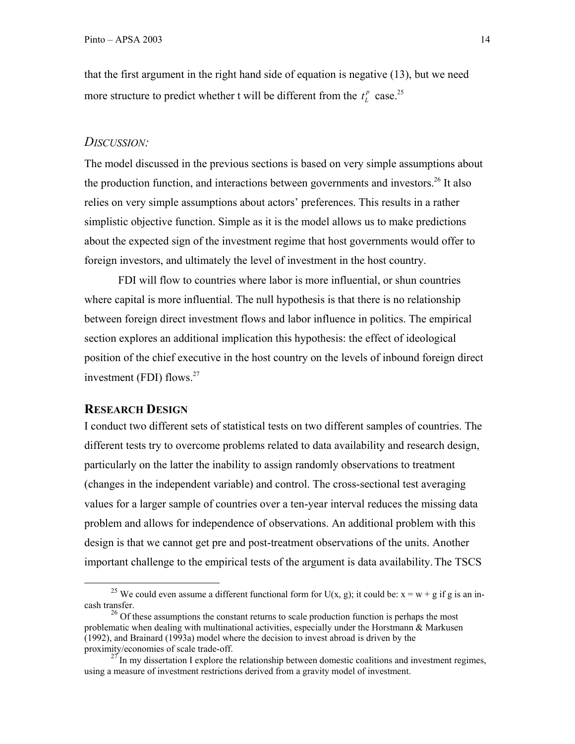that the first argument in the right hand side of equation is negative (13), but we need more structure to predict whether t will be different from the  $t_L^p$  case.<sup>25</sup>

#### *DISCUSSION:*

The model discussed in the previous sections is based on very simple assumptions about the production function, and interactions between governments and investors.<sup>26</sup> It also relies on very simple assumptions about actors' preferences. This results in a rather simplistic objective function. Simple as it is the model allows us to make predictions about the expected sign of the investment regime that host governments would offer to foreign investors, and ultimately the level of investment in the host country.

FDI will flow to countries where labor is more influential, or shun countries where capital is more influential. The null hypothesis is that there is no relationship between foreign direct investment flows and labor influence in politics. The empirical section explores an additional implication this hypothesis: the effect of ideological position of the chief executive in the host country on the levels of inbound foreign direct investment (FDI) flows. $27$ 

#### **RESEARCH DESIGN**

I conduct two different sets of statistical tests on two different samples of countries. The different tests try to overcome problems related to data availability and research design, particularly on the latter the inability to assign randomly observations to treatment (changes in the independent variable) and control. The cross-sectional test averaging values for a larger sample of countries over a ten-year interval reduces the missing data problem and allows for independence of observations. An additional problem with this design is that we cannot get pre and post-treatment observations of the units. Another important challenge to the empirical tests of the argument is data availability.The TSCS

<sup>&</sup>lt;sup>25</sup> We could even assume a different functional form for U(x, g); it could be:  $x = w + g$  if g is an incash transfer.

 $26$  Of these assumptions the constant returns to scale production function is perhaps the most problematic when dealing with multinational activities, especially under the Horstmann & Markusen (1992), and Brainard (1993a) model where the decision to invest abroad is driven by the proximity/economies of scale trade-off.

 $2^{7}$  In my dissertation I explore the relationship between domestic coalitions and investment regimes, using a measure of investment restrictions derived from a gravity model of investment.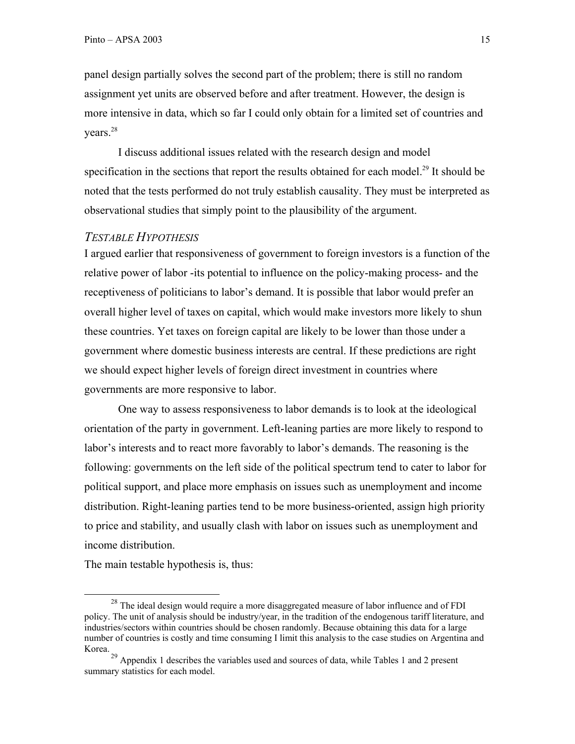panel design partially solves the second part of the problem; there is still no random assignment yet units are observed before and after treatment. However, the design is more intensive in data, which so far I could only obtain for a limited set of countries and years.<sup>28</sup>

I discuss additional issues related with the research design and model specification in the sections that report the results obtained for each model.<sup>29</sup> It should be noted that the tests performed do not truly establish causality. They must be interpreted as observational studies that simply point to the plausibility of the argument.

### *TESTABLE HYPOTHESIS*

I argued earlier that responsiveness of government to foreign investors is a function of the relative power of labor -its potential to influence on the policy-making process- and the receptiveness of politicians to labor's demand. It is possible that labor would prefer an overall higher level of taxes on capital, which would make investors more likely to shun these countries. Yet taxes on foreign capital are likely to be lower than those under a government where domestic business interests are central. If these predictions are right we should expect higher levels of foreign direct investment in countries where governments are more responsive to labor.

One way to assess responsiveness to labor demands is to look at the ideological orientation of the party in government. Left-leaning parties are more likely to respond to labor's interests and to react more favorably to labor's demands. The reasoning is the following: governments on the left side of the political spectrum tend to cater to labor for political support, and place more emphasis on issues such as unemployment and income distribution. Right-leaning parties tend to be more business-oriented, assign high priority to price and stability, and usually clash with labor on issues such as unemployment and income distribution.

The main testable hypothesis is, thus:

<sup>&</sup>lt;sup>28</sup> The ideal design would require a more disaggregated measure of labor influence and of FDI policy. The unit of analysis should be industry/year, in the tradition of the endogenous tariff literature, and industries/sectors within countries should be chosen randomly. Because obtaining this data for a large number of countries is costly and time consuming I limit this analysis to the case studies on Argentina and Korea.

 $29$  Appendix 1 describes the variables used and sources of data, while Tables 1 and 2 present summary statistics for each model.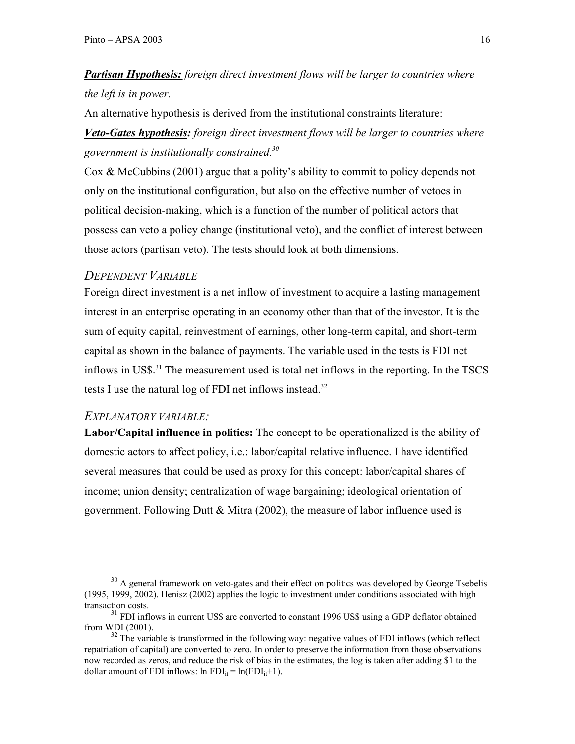# *Partisan Hypothesis: foreign direct investment flows will be larger to countries where the left is in power.*

An alternative hypothesis is derived from the institutional constraints literature:

*Veto-Gates hypothesis: foreign direct investment flows will be larger to countries where government is institutionally constrained.30*

Cox & McCubbins (2001) argue that a polity's ability to commit to policy depends not only on the institutional configuration, but also on the effective number of vetoes in political decision-making, which is a function of the number of political actors that possess can veto a policy change (institutional veto), and the conflict of interest between those actors (partisan veto). The tests should look at both dimensions.

## *DEPENDENT VARIABLE*

Foreign direct investment is a net inflow of investment to acquire a lasting management interest in an enterprise operating in an economy other than that of the investor. It is the sum of equity capital, reinvestment of earnings, other long-term capital, and short-term capital as shown in the balance of payments. The variable used in the tests is FDI net inflows in US\$.31 The measurement used is total net inflows in the reporting. In the TSCS tests I use the natural log of FDI net inflows instead.<sup>32</sup>

## *EXPLANATORY VARIABLE:*

**Labor/Capital influence in politics:** The concept to be operationalized is the ability of domestic actors to affect policy, i.e.: labor/capital relative influence. I have identified several measures that could be used as proxy for this concept: labor/capital shares of income; union density; centralization of wage bargaining; ideological orientation of government. Following Dutt & Mitra (2002), the measure of labor influence used is

<sup>&</sup>lt;sup>30</sup> A general framework on veto-gates and their effect on politics was developed by George Tsebelis (1995, 1999, 2002). Henisz (2002) applies the logic to investment under conditions associated with high transaction costs.

 $31$  FDI inflows in current US\$ are converted to constant 1996 US\$ using a GDP deflator obtained from WDI (2001).

 $32$  The variable is transformed in the following way: negative values of FDI inflows (which reflect repatriation of capital) are converted to zero. In order to preserve the information from those observations now recorded as zeros, and reduce the risk of bias in the estimates, the log is taken after adding \$1 to the dollar amount of FDI inflows:  $\ln \text{FDI}_{it} = \ln(\text{FDI}_{it}+1)$ .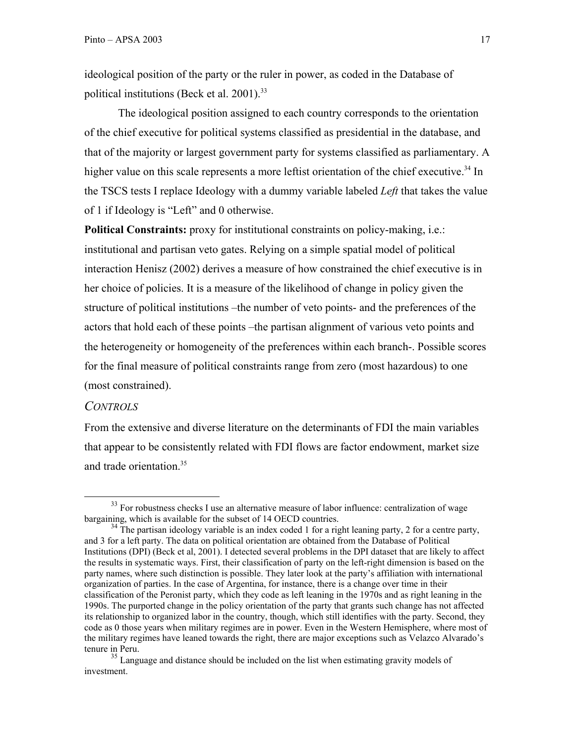ideological position of the party or the ruler in power, as coded in the Database of political institutions (Beck et al.  $2001$ ).<sup>33</sup>

The ideological position assigned to each country corresponds to the orientation of the chief executive for political systems classified as presidential in the database, and that of the majority or largest government party for systems classified as parliamentary. A higher value on this scale represents a more leftist orientation of the chief executive.<sup>34</sup> In the TSCS tests I replace Ideology with a dummy variable labeled *Left* that takes the value of 1 if Ideology is "Left" and 0 otherwise.

**Political Constraints:** proxy for institutional constraints on policy-making, i.e.: institutional and partisan veto gates. Relying on a simple spatial model of political interaction Henisz (2002) derives a measure of how constrained the chief executive is in her choice of policies. It is a measure of the likelihood of change in policy given the structure of political institutions –the number of veto points- and the preferences of the actors that hold each of these points –the partisan alignment of various veto points and the heterogeneity or homogeneity of the preferences within each branch-. Possible scores for the final measure of political constraints range from zero (most hazardous) to one (most constrained).

#### *CONTROLS*

From the extensive and diverse literature on the determinants of FDI the main variables that appear to be consistently related with FDI flows are factor endowment, market size and trade orientation.<sup>35</sup>

 $33$  For robustness checks I use an alternative measure of labor influence: centralization of wage bargaining, which is available for the subset of 14 OECD countries.

 $34$  The partisan ideology variable is an index coded 1 for a right leaning party, 2 for a centre party, and 3 for a left party. The data on political orientation are obtained from the Database of Political Institutions (DPI) (Beck et al, 2001). I detected several problems in the DPI dataset that are likely to affect the results in systematic ways. First, their classification of party on the left-right dimension is based on the party names, where such distinction is possible. They later look at the party's affiliation with international organization of parties. In the case of Argentina, for instance, there is a change over time in their classification of the Peronist party, which they code as left leaning in the 1970s and as right leaning in the 1990s. The purported change in the policy orientation of the party that grants such change has not affected its relationship to organized labor in the country, though, which still identifies with the party. Second, they code as 0 those years when military regimes are in power. Even in the Western Hemisphere, where most of the military regimes have leaned towards the right, there are major exceptions such as Velazco Alvarado's tenure in Peru.

<sup>&</sup>lt;sup>35</sup> Language and distance should be included on the list when estimating gravity models of investment.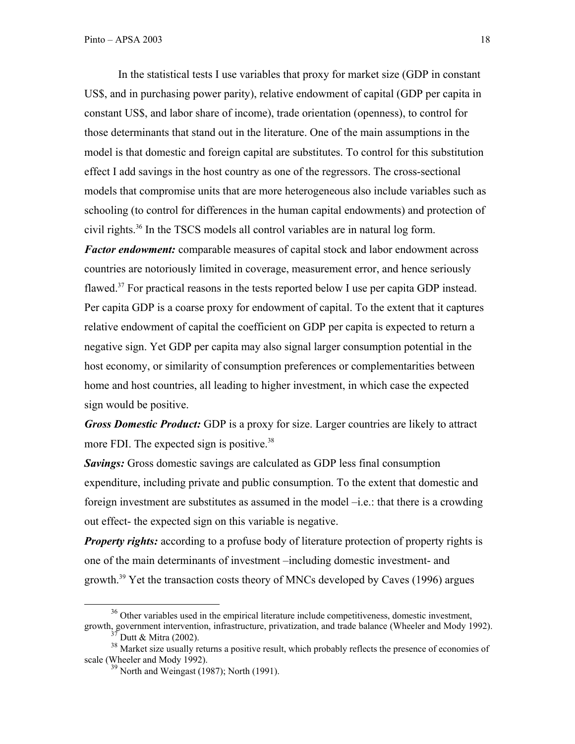In the statistical tests I use variables that proxy for market size (GDP in constant US\$, and in purchasing power parity), relative endowment of capital (GDP per capita in constant US\$, and labor share of income), trade orientation (openness), to control for those determinants that stand out in the literature. One of the main assumptions in the model is that domestic and foreign capital are substitutes. To control for this substitution effect I add savings in the host country as one of the regressors. The cross-sectional models that compromise units that are more heterogeneous also include variables such as schooling (to control for differences in the human capital endowments) and protection of civil rights.36 In the TSCS models all control variables are in natural log form.

*Factor endowment:* comparable measures of capital stock and labor endowment across countries are notoriously limited in coverage, measurement error, and hence seriously flawed.<sup>37</sup> For practical reasons in the tests reported below I use per capita GDP instead. Per capita GDP is a coarse proxy for endowment of capital. To the extent that it captures relative endowment of capital the coefficient on GDP per capita is expected to return a negative sign. Yet GDP per capita may also signal larger consumption potential in the host economy, or similarity of consumption preferences or complementarities between home and host countries, all leading to higher investment, in which case the expected sign would be positive.

*Gross Domestic Product:* GDP is a proxy for size. Larger countries are likely to attract more FDI. The expected sign is positive.<sup>38</sup>

*Savings:* Gross domestic savings are calculated as GDP less final consumption expenditure, including private and public consumption. To the extent that domestic and foreign investment are substitutes as assumed in the model –i.e.: that there is a crowding out effect- the expected sign on this variable is negative.

*Property rights:* according to a profuse body of literature protection of property rights is one of the main determinants of investment –including domestic investment- and growth.39 Yet the transaction costs theory of MNCs developed by Caves (1996) argues

<sup>&</sup>lt;sup>36</sup> Other variables used in the empirical literature include competitiveness, domestic investment, growth, government intervention, infrastructure, privatization, and trade balance (Wheeler and Mody 1992).

 $\int$  Dutt & Mitra (2002).

<sup>&</sup>lt;sup>38</sup> Market size usually returns a positive result, which probably reflects the presence of economies of scale (Wheeler and Mody 1992).

 $39$  North and Weingast (1987); North (1991).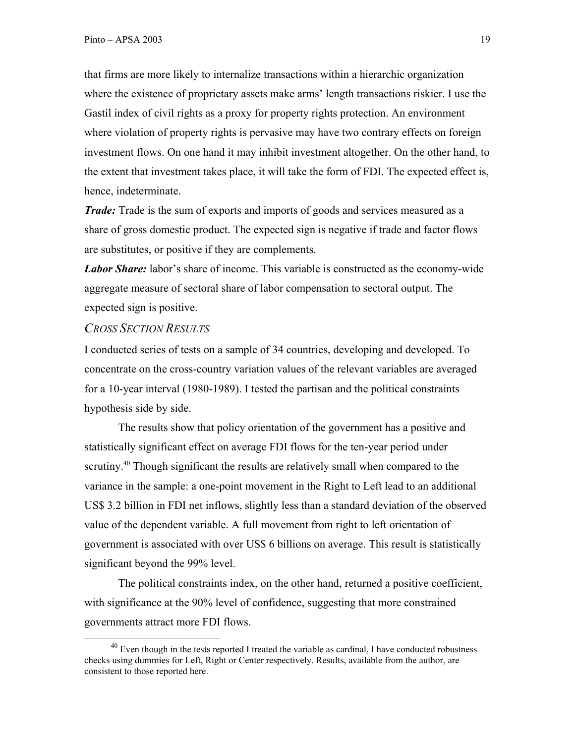that firms are more likely to internalize transactions within a hierarchic organization where the existence of proprietary assets make arms' length transactions riskier. I use the Gastil index of civil rights as a proxy for property rights protection. An environment where violation of property rights is pervasive may have two contrary effects on foreign investment flows. On one hand it may inhibit investment altogether. On the other hand, to the extent that investment takes place, it will take the form of FDI. The expected effect is, hence, indeterminate.

*Trade:* Trade is the sum of exports and imports of goods and services measured as a share of gross domestic product. The expected sign is negative if trade and factor flows are substitutes, or positive if they are complements.

*Labor Share:* labor's share of income. This variable is constructed as the economy-wide aggregate measure of sectoral share of labor compensation to sectoral output. The expected sign is positive.

#### *CROSS SECTION RESULTS*

I conducted series of tests on a sample of 34 countries, developing and developed. To concentrate on the cross-country variation values of the relevant variables are averaged for a 10-year interval (1980-1989). I tested the partisan and the political constraints hypothesis side by side.

The results show that policy orientation of the government has a positive and statistically significant effect on average FDI flows for the ten-year period under scrutiny.<sup>40</sup> Though significant the results are relatively small when compared to the variance in the sample: a one-point movement in the Right to Left lead to an additional US\$ 3.2 billion in FDI net inflows, slightly less than a standard deviation of the observed value of the dependent variable. A full movement from right to left orientation of government is associated with over US\$ 6 billions on average. This result is statistically significant beyond the 99% level.

The political constraints index, on the other hand, returned a positive coefficient, with significance at the 90% level of confidence, suggesting that more constrained governments attract more FDI flows.

 $^{40}$  Even though in the tests reported I treated the variable as cardinal, I have conducted robustness checks using dummies for Left, Right or Center respectively. Results, available from the author, are consistent to those reported here.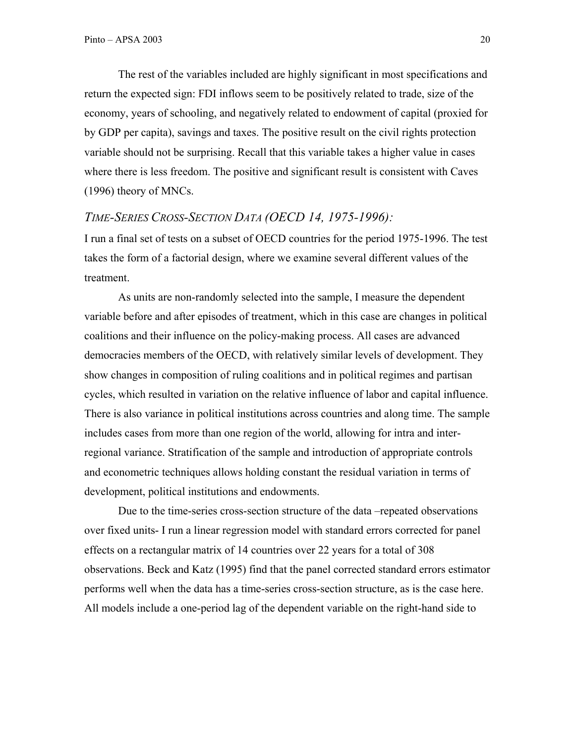The rest of the variables included are highly significant in most specifications and return the expected sign: FDI inflows seem to be positively related to trade, size of the economy, years of schooling, and negatively related to endowment of capital (proxied for by GDP per capita), savings and taxes. The positive result on the civil rights protection variable should not be surprising. Recall that this variable takes a higher value in cases where there is less freedom. The positive and significant result is consistent with Caves (1996) theory of MNCs.

### *TIME-SERIES CROSS-SECTION DATA (OECD 14, 1975-1996):*

I run a final set of tests on a subset of OECD countries for the period 1975-1996. The test takes the form of a factorial design, where we examine several different values of the treatment.

As units are non-randomly selected into the sample, I measure the dependent variable before and after episodes of treatment, which in this case are changes in political coalitions and their influence on the policy-making process. All cases are advanced democracies members of the OECD, with relatively similar levels of development. They show changes in composition of ruling coalitions and in political regimes and partisan cycles, which resulted in variation on the relative influence of labor and capital influence. There is also variance in political institutions across countries and along time. The sample includes cases from more than one region of the world, allowing for intra and interregional variance. Stratification of the sample and introduction of appropriate controls and econometric techniques allows holding constant the residual variation in terms of development, political institutions and endowments.

Due to the time-series cross-section structure of the data –repeated observations over fixed units- I run a linear regression model with standard errors corrected for panel effects on a rectangular matrix of 14 countries over 22 years for a total of 308 observations. Beck and Katz (1995) find that the panel corrected standard errors estimator performs well when the data has a time-series cross-section structure, as is the case here. All models include a one-period lag of the dependent variable on the right-hand side to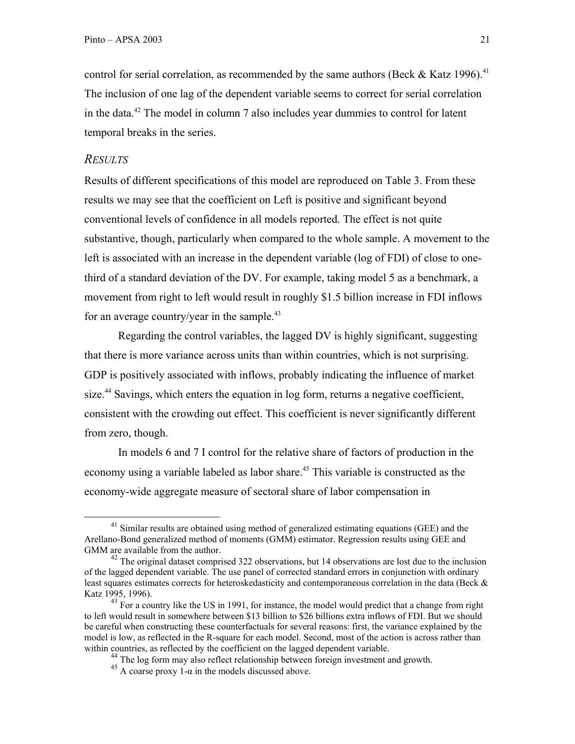control for serial correlation, as recommended by the same authors (Beck  $\&$  Katz 1996).<sup>41</sup> The inclusion of one lag of the dependent variable seems to correct for serial correlation in the data.42 The model in column 7 also includes year dummies to control for latent temporal breaks in the series.

#### *RESULTS*

Results of different specifications of this model are reproduced on Table 3. From these results we may see that the coefficient on Left is positive and significant beyond conventional levels of confidence in all models reported. The effect is not quite substantive, though, particularly when compared to the whole sample. A movement to the left is associated with an increase in the dependent variable (log of FDI) of close to onethird of a standard deviation of the DV. For example, taking model 5 as a benchmark, a movement from right to left would result in roughly \$1.5 billion increase in FDI inflows for an average country/year in the sample. $43$ 

Regarding the control variables, the lagged DV is highly significant, suggesting that there is more variance across units than within countries, which is not surprising. GDP is positively associated with inflows, probably indicating the influence of market size.<sup>44</sup> Savings, which enters the equation in log form, returns a negative coefficient, consistent with the crowding out effect. This coefficient is never significantly different from zero, though.

In models 6 and 7 I control for the relative share of factors of production in the economy using a variable labeled as labor share.<sup>45</sup> This variable is constructed as the economy-wide aggregate measure of sectoral share of labor compensation in

 $^{41}$  Similar results are obtained using method of generalized estimating equations (GEE) and the Arellano-Bond generalized method of moments (GMM) estimator. Regression results using GEE and GMM are available from the author.

 $42$  The original dataset comprised 322 observations, but 14 observations are lost due to the inclusion of the lagged dependent variable. The use panel of corrected standard errors in conjunction with ordinary least squares estimates corrects for heteroskedasticity and contemporaneous correlation in the data (Beck & Katz 1995, 1996).

 $^{43}$  For a country like the US in 1991, for instance, the model would predict that a change from right to left would result in somewhere between \$13 billion to \$26 billions extra inflows of FDI. But we should be careful when constructing these counterfactuals for several reasons: first, the variance explained by the model is low, as reflected in the R-square for each model. Second, most of the action is across rather than within countries, as reflected by the coefficient on the lagged dependent variable.

<sup>&</sup>lt;sup>44</sup> The log form may also reflect relationship between foreign investment and growth.

 $45$  A coarse proxy  $1-\alpha$  in the models discussed above.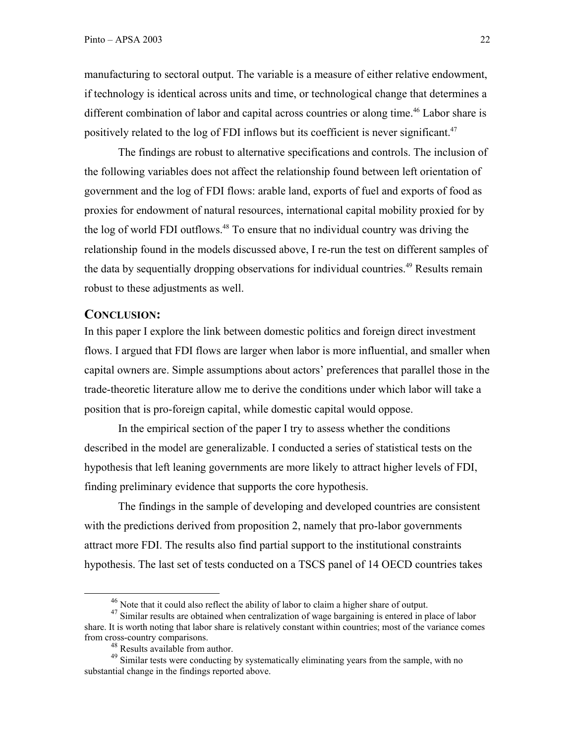manufacturing to sectoral output. The variable is a measure of either relative endowment, if technology is identical across units and time, or technological change that determines a different combination of labor and capital across countries or along time.<sup>46</sup> Labor share is positively related to the log of FDI inflows but its coefficient is never significant.<sup>47</sup>

The findings are robust to alternative specifications and controls. The inclusion of the following variables does not affect the relationship found between left orientation of government and the log of FDI flows: arable land, exports of fuel and exports of food as proxies for endowment of natural resources, international capital mobility proxied for by the log of world FDI outflows.<sup>48</sup> To ensure that no individual country was driving the relationship found in the models discussed above, I re-run the test on different samples of the data by sequentially dropping observations for individual countries.<sup>49</sup> Results remain robust to these adjustments as well.

#### **CONCLUSION:**

In this paper I explore the link between domestic politics and foreign direct investment flows. I argued that FDI flows are larger when labor is more influential, and smaller when capital owners are. Simple assumptions about actors' preferences that parallel those in the trade-theoretic literature allow me to derive the conditions under which labor will take a position that is pro-foreign capital, while domestic capital would oppose.

In the empirical section of the paper I try to assess whether the conditions described in the model are generalizable. I conducted a series of statistical tests on the hypothesis that left leaning governments are more likely to attract higher levels of FDI, finding preliminary evidence that supports the core hypothesis.

The findings in the sample of developing and developed countries are consistent with the predictions derived from proposition 2, namely that pro-labor governments attract more FDI. The results also find partial support to the institutional constraints hypothesis. The last set of tests conducted on a TSCS panel of 14 OECD countries takes

 $46$  Note that it could also reflect the ability of labor to claim a higher share of output.

<sup>&</sup>lt;sup>47</sup> Similar results are obtained when centralization of wage bargaining is entered in place of labor share. It is worth noting that labor share is relatively constant within countries; most of the variance comes from cross-country comparisons.

<sup>&</sup>lt;sup>48</sup> Results available from author.

<sup>&</sup>lt;sup>49</sup> Similar tests were conducting by systematically eliminating years from the sample, with no substantial change in the findings reported above.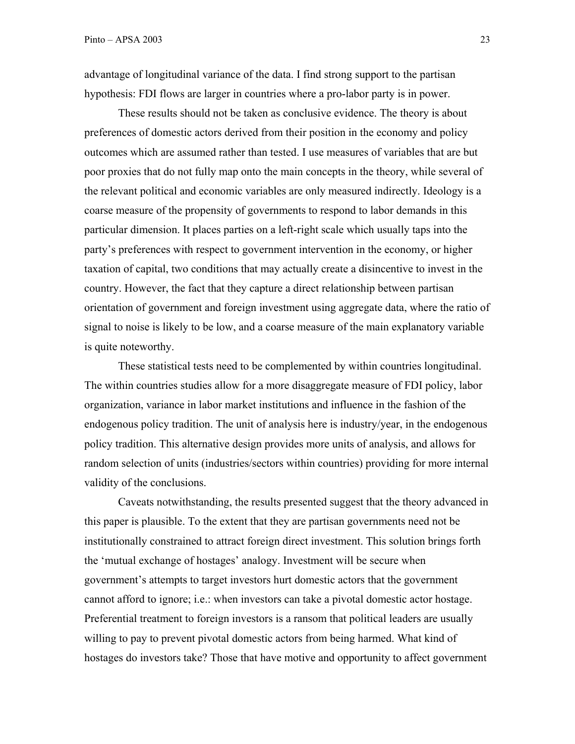advantage of longitudinal variance of the data. I find strong support to the partisan hypothesis: FDI flows are larger in countries where a pro-labor party is in power.

These results should not be taken as conclusive evidence. The theory is about preferences of domestic actors derived from their position in the economy and policy outcomes which are assumed rather than tested. I use measures of variables that are but poor proxies that do not fully map onto the main concepts in the theory, while several of the relevant political and economic variables are only measured indirectly. Ideology is a coarse measure of the propensity of governments to respond to labor demands in this particular dimension. It places parties on a left-right scale which usually taps into the party's preferences with respect to government intervention in the economy, or higher taxation of capital, two conditions that may actually create a disincentive to invest in the country. However, the fact that they capture a direct relationship between partisan orientation of government and foreign investment using aggregate data, where the ratio of signal to noise is likely to be low, and a coarse measure of the main explanatory variable is quite noteworthy.

These statistical tests need to be complemented by within countries longitudinal. The within countries studies allow for a more disaggregate measure of FDI policy, labor organization, variance in labor market institutions and influence in the fashion of the endogenous policy tradition. The unit of analysis here is industry/year, in the endogenous policy tradition. This alternative design provides more units of analysis, and allows for random selection of units (industries/sectors within countries) providing for more internal validity of the conclusions.

Caveats notwithstanding, the results presented suggest that the theory advanced in this paper is plausible. To the extent that they are partisan governments need not be institutionally constrained to attract foreign direct investment. This solution brings forth the 'mutual exchange of hostages' analogy. Investment will be secure when government's attempts to target investors hurt domestic actors that the government cannot afford to ignore; i.e.: when investors can take a pivotal domestic actor hostage. Preferential treatment to foreign investors is a ransom that political leaders are usually willing to pay to prevent pivotal domestic actors from being harmed. What kind of hostages do investors take? Those that have motive and opportunity to affect government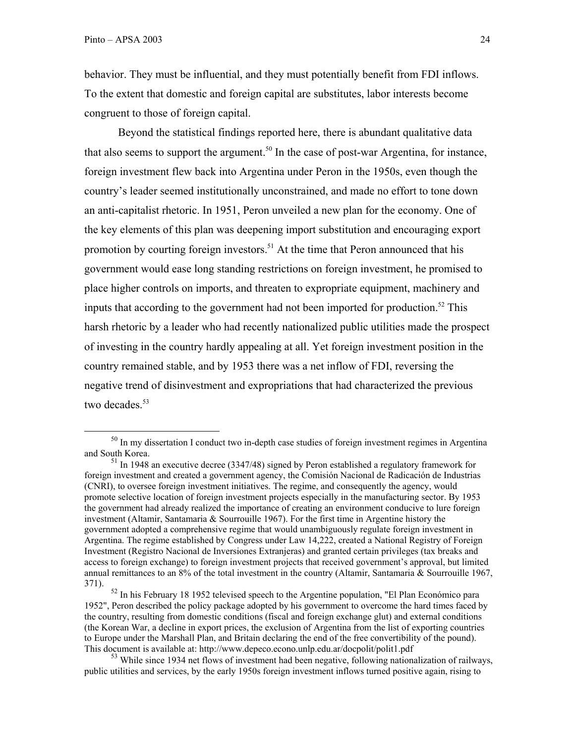behavior. They must be influential, and they must potentially benefit from FDI inflows. To the extent that domestic and foreign capital are substitutes, labor interests become congruent to those of foreign capital.

Beyond the statistical findings reported here, there is abundant qualitative data that also seems to support the argument.<sup>50</sup> In the case of post-war Argentina, for instance, foreign investment flew back into Argentina under Peron in the 1950s, even though the country's leader seemed institutionally unconstrained, and made no effort to tone down an anti-capitalist rhetoric. In 1951, Peron unveiled a new plan for the economy. One of the key elements of this plan was deepening import substitution and encouraging export promotion by courting foreign investors.<sup>51</sup> At the time that Peron announced that his government would ease long standing restrictions on foreign investment, he promised to place higher controls on imports, and threaten to expropriate equipment, machinery and inputs that according to the government had not been imported for production.<sup>52</sup> This harsh rhetoric by a leader who had recently nationalized public utilities made the prospect of investing in the country hardly appealing at all. Yet foreign investment position in the country remained stable, and by 1953 there was a net inflow of FDI, reversing the negative trend of disinvestment and expropriations that had characterized the previous two decades. $53$ 

<sup>&</sup>lt;sup>50</sup> In my dissertation I conduct two in-depth case studies of foreign investment regimes in Argentina and South Korea.

 $\frac{51}{1}$  In 1948 an executive decree (3347/48) signed by Peron established a regulatory framework for foreign investment and created a government agency, the Comisión Nacional de Radicación de Industrias (CNRI), to oversee foreign investment initiatives. The regime, and consequently the agency, would promote selective location of foreign investment projects especially in the manufacturing sector. By 1953 the government had already realized the importance of creating an environment conducive to lure foreign investment (Altamir, Santamaria & Sourrouille 1967). For the first time in Argentine history the government adopted a comprehensive regime that would unambiguously regulate foreign investment in Argentina. The regime established by Congress under Law 14,222, created a National Registry of Foreign Investment (Registro Nacional de Inversiones Extranjeras) and granted certain privileges (tax breaks and access to foreign exchange) to foreign investment projects that received government's approval, but limited annual remittances to an  $8\%$  of the total investment in the country (Altamir, Santamaria & Sourrouille 1967, 371).

<sup>&</sup>lt;sup>52</sup> In his February 18 1952 televised speech to the Argentine population, "El Plan Económico para 1952", Peron described the policy package adopted by his government to overcome the hard times faced by the country, resulting from domestic conditions (fiscal and foreign exchange glut) and external conditions (the Korean War, a decline in export prices, the exclusion of Argentina from the list of exporting countries to Europe under the Marshall Plan, and Britain declaring the end of the free convertibility of the pound). This document is available at: http://www.depeco.econo.unlp.edu.ar/docpolit/polit1.pdf

<sup>&</sup>lt;sup>53</sup> While since 1934 net flows of investment had been negative, following nationalization of railways, public utilities and services, by the early 1950s foreign investment inflows turned positive again, rising to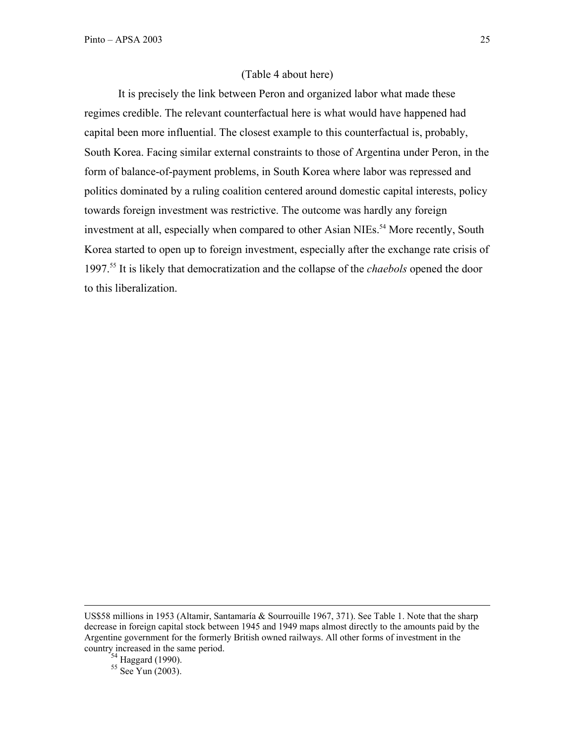#### (Table 4 about here)

It is precisely the link between Peron and organized labor what made these regimes credible. The relevant counterfactual here is what would have happened had capital been more influential. The closest example to this counterfactual is, probably, South Korea. Facing similar external constraints to those of Argentina under Peron, in the form of balance-of-payment problems, in South Korea where labor was repressed and politics dominated by a ruling coalition centered around domestic capital interests, policy towards foreign investment was restrictive. The outcome was hardly any foreign investment at all, especially when compared to other Asian NIEs.<sup>54</sup> More recently, South Korea started to open up to foreign investment, especially after the exchange rate crisis of 1997.55 It is likely that democratization and the collapse of the *chaebols* opened the door to this liberalization.

 $55$  See Yun (2003).

US\$58 millions in 1953 (Altamir, Santamaría & Sourrouille 1967, 371). See Table 1. Note that the sharp decrease in foreign capital stock between 1945 and 1949 maps almost directly to the amounts paid by the Argentine government for the formerly British owned railways. All other forms of investment in the country increased in the same period.

<sup>&</sup>lt;sup>54</sup> Haggard (1990).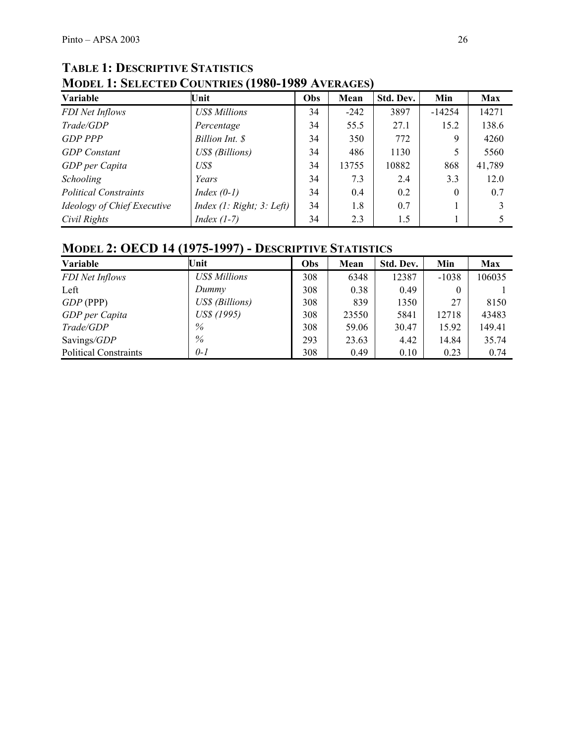# **TABLE 1: DESCRIPTIVE STATISTICS MODEL 1: SELECTED COUNTRIES (1980-1989 AVERAGES)**

| Variable                     | Unit                      | Obs | Mean   | Std. Dev. | Min      | <b>Max</b> |
|------------------------------|---------------------------|-----|--------|-----------|----------|------------|
| FDI Net Inflows              | <b>US\$</b> Millions      | 34  | $-242$ | 3897      | $-14254$ | 14271      |
| Trade/GDP                    | Percentage                | 34  | 55.5   | 27.1      | 15.2     | 138.6      |
| <b>GDP PPP</b>               | Billion Int. \$           | 34  | 350    | 772       | 9        | 4260       |
| <b>GDP</b> Constant          | US\$ (Billions)           | 34  | 486    | 1130      |          | 5560       |
| GDP per Capita               | US\$                      | 34  | 13755  | 10882     | 868      | 41,789     |
| Schooling                    | Years                     | 34  | 7.3    | 2.4       | 3.3      | 12.0       |
| <b>Political Constraints</b> | Index $(0-1)$             | 34  | 0.4    | 0.2       | $\Omega$ | 0.7        |
| Ideology of Chief Executive  | Index (1: Right; 3: Left) | 34  | 1.8    | 0.7       |          |            |
| Civil Rights                 | Index $(1-7)$             | 34  | 2.3    | 1.5       |          |            |

# **MODEL 2: OECD 14 (1975-1997) - DESCRIPTIVE STATISTICS**

| Variable                     | Unit                 | Obs | Mean  | Std. Dev. | Min      | <b>Max</b> |
|------------------------------|----------------------|-----|-------|-----------|----------|------------|
| FDI Net Inflows              | <b>US\$</b> Millions | 308 | 6348  | 12387     | $-1038$  | 106035     |
| Left                         | Dummy                | 308 | 0.38  | 0.49      | $\theta$ |            |
| $GDP$ (PPP)                  | US\$ (Billions)      | 308 | 839   | 1350      | 27       | 8150       |
| GDP per Capita               | US\$ (1995)          | 308 | 23550 | 5841      | 12718    | 43483      |
| Trade/GDP                    | $\%$                 | 308 | 59.06 | 30.47     | 15.92    | 149.41     |
| Savings/GDP                  | %                    | 293 | 23.63 | 4.42      | 14.84    | 35.74      |
| <b>Political Constraints</b> | $0-1$                | 308 | 0.49  | 0.10      | 0.23     | 0.74       |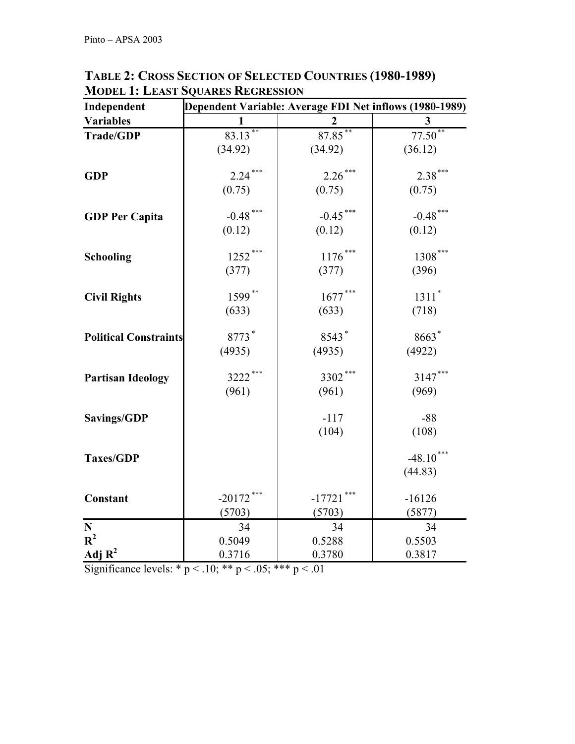| Independent                  | Dependent Variable: Average FDI Net inflows (1980-1989) |              |             |  |  |  |  |
|------------------------------|---------------------------------------------------------|--------------|-------------|--|--|--|--|
| <b>Variables</b>             |                                                         |              | 3           |  |  |  |  |
| Trade/GDP                    | $83.13***$                                              | $87.85***$   | $77.50**$   |  |  |  |  |
|                              | (34.92)                                                 | (34.92)      | (36.12)     |  |  |  |  |
| <b>GDP</b>                   | $2.24***$                                               | $2.26***$    | $2.38***$   |  |  |  |  |
|                              | (0.75)                                                  | (0.75)       | (0.75)      |  |  |  |  |
| <b>GDP Per Capita</b>        | $-0.48$ ***                                             | $-0.45$ ***  | $-0.48$ *** |  |  |  |  |
|                              | (0.12)                                                  | (0.12)       | (0.12)      |  |  |  |  |
| <b>Schooling</b>             | $1252***$                                               | $1176\dotsm$ | $1308***$   |  |  |  |  |
|                              | (377)                                                   | (377)        | (396)       |  |  |  |  |
| <b>Civil Rights</b>          | 1599**                                                  | $1677\dotsm$ | $1311*$     |  |  |  |  |
|                              | (633)                                                   | (633)        | (718)       |  |  |  |  |
| <b>Political Constraints</b> | 8773*                                                   | 8543*        | 8663*       |  |  |  |  |
|                              | (4935)                                                  | (4935)       | (4922)      |  |  |  |  |
| <b>Partisan Ideology</b>     | 3222***                                                 | 3302***      | $3147***$   |  |  |  |  |
|                              | (961)                                                   | (961)        | (969)       |  |  |  |  |
| <b>Savings/GDP</b>           |                                                         | $-117$       | $-88$       |  |  |  |  |
|                              |                                                         | (104)        | (108)       |  |  |  |  |
| <b>Taxes/GDP</b>             |                                                         |              | $-48.10***$ |  |  |  |  |
|                              |                                                         |              | (44.83)     |  |  |  |  |
| Constant                     | $-20172$ ***                                            | $-17721$     | $-16126$    |  |  |  |  |
|                              | (5703)                                                  | (5703)       | (5877)      |  |  |  |  |
| ${\bf N}$                    | 34                                                      | 34           | 34          |  |  |  |  |
| $R^2$                        | 0.5049                                                  | 0.5288       | 0.5503      |  |  |  |  |
| Adj $R^2$                    | 0.3716                                                  | 0.3780       | 0.3817      |  |  |  |  |

**TABLE 2: CROSS SECTION OF SELECTED COUNTRIES (1980-1989) MODEL 1: LEAST SQUARES REGRESSION**

Significance levels: \* p < .10; \*\* p < .05; \*\*\* p < .01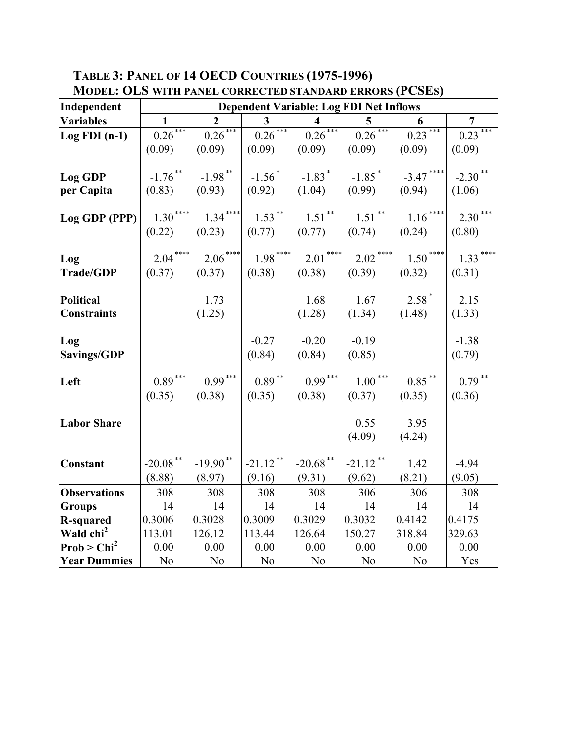**TABLE 3: PANEL OF 14 OECD COUNTRIES (1975-1996)** 

| <b>MODEL: OLS WITH PANEL CORRECTED STANDARD ERRORS (PCSES)</b> |                                                |                      |                                |                                |                                  |                        |                      |
|----------------------------------------------------------------|------------------------------------------------|----------------------|--------------------------------|--------------------------------|----------------------------------|------------------------|----------------------|
| Independent                                                    | <b>Dependent Variable: Log FDI Net Inflows</b> |                      |                                |                                |                                  |                        |                      |
| <b>Variables</b>                                               | $\mathbf{1}$                                   | $\overline{2}$       | $\mathbf{3}$                   | $\overline{\mathbf{4}}$        | 5                                | 6                      | $\overline{7}$       |
| $Log FDI(n-1)$                                                 | $0.26***$                                      | $0.26***$            | $0.26***$                      | $0.26***$                      | $0.26***$                        | $0.23***$              | $0.23***$            |
|                                                                | (0.09)                                         | (0.09)               | (0.09)                         | (0.09)                         | (0.09)                           | (0.09)                 | (0.09)               |
| Log GDP<br>per Capita                                          | $-1.76$ **<br>(0.83)                           | $-1.98$ **<br>(0.93) | $-1.56$ <sup>*</sup><br>(0.92) | $-1.83$ <sup>*</sup><br>(1.04) | $-1.85$ <sup>*</sup><br>(0.99)   | $-3.47$ ****<br>(0.94) | $-2.30$ **<br>(1.06) |
| Log GDP (PPP)                                                  | $1.30***$                                      | $1.34***$            | $1.53***$                      | $1.51***$                      | $1.51$ **                        | $1.16***$              | $2.30***$            |
|                                                                | (0.22)                                         | (0.23)               | (0.77)                         | (0.77)                         | (0.74)                           | (0.24)                 | (0.80)               |
| Log<br><b>Trade/GDP</b>                                        | $2.04***$<br>(0.37)                            | $2.06***$<br>(0.37)  | $1.98***$<br>(0.38)            | $2.01***$<br>(0.38)            | $2.02$ <sup>****</sup><br>(0.39) | $1.50***$<br>(0.32)    | $1.33***$<br>(0.31)  |
| <b>Political</b><br><b>Constraints</b>                         |                                                | 1.73<br>(1.25)       |                                | 1.68<br>(1.28)                 | 1.67<br>(1.34)                   | $2.58*$<br>(1.48)      | 2.15<br>(1.33)       |
| Log<br>Savings/GDP                                             |                                                |                      | $-0.27$<br>(0.84)              | $-0.20$<br>(0.84)              | $-0.19$<br>(0.85)                |                        | $-1.38$<br>(0.79)    |
| Left                                                           | $0.89***$<br>(0.35)                            | $0.99***$<br>(0.38)  | $0.89$ $^{\ast\ast}$<br>(0.35) | $0.99***$<br>(0.38)            | $1.00***$<br>(0.37)              | $0.85$ **<br>(0.35)    | $0.79***$<br>(0.36)  |
| <b>Labor Share</b>                                             |                                                |                      |                                |                                | 0.55<br>(4.09)                   | 3.95<br>(4.24)         |                      |
| Constant                                                       | $-20.08$ **<br>(8.88)                          | $-19.90**$<br>(8.97) | $-21.12$ **<br>(9.16)          | $-20.68$ **<br>(9.31)          | $-21.12$ **<br>(9.62)            | 1.42<br>(8.21)         | $-4.94$<br>(9.05)    |
|                                                                |                                                |                      |                                |                                |                                  |                        |                      |
| <b>Observations</b><br><b>Groups</b>                           | 308<br>14                                      | 308<br>14            | 308<br>14                      | 308<br>14                      | 306<br>14                        | 306<br>14              | 308<br>14            |
| <b>R-squared</b>                                               | 0.3006                                         | 0.3028               | 0.3009                         | 0.3029                         | 0.3032                           | 0.4142                 | 0.4175               |
| Wald chi <sup>2</sup>                                          | 113.01                                         | 126.12               | 113.44                         | 126.64                         | 150.27                           | 318.84                 | 329.63               |
| Prob > Chi <sup>2</sup>                                        | 0.00                                           | 0.00                 | 0.00                           | 0.00                           | 0.00                             | 0.00                   | 0.00                 |
| <b>Year Dummies</b>                                            | N <sub>o</sub>                                 | N <sub>0</sub>       | N <sub>o</sub>                 | N <sub>o</sub>                 | N <sub>0</sub>                   | N <sub>o</sub>         | Yes                  |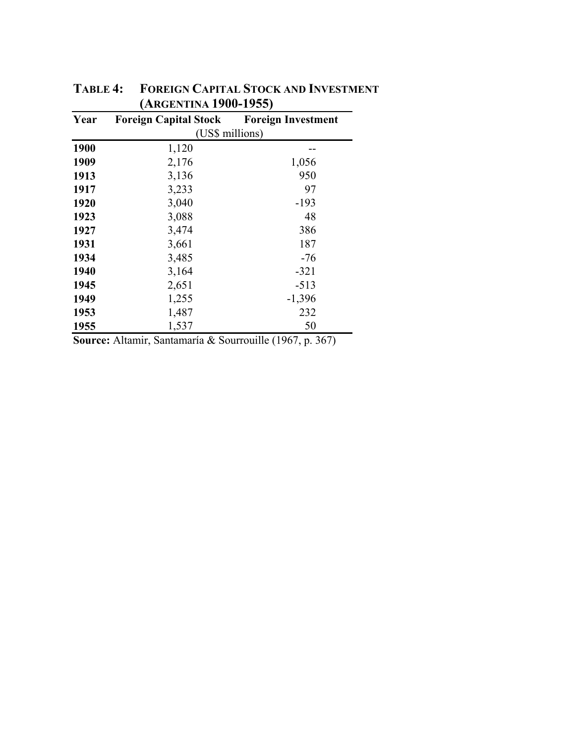| Year | <b>Foreign Capital Stock</b> | <b>Foreign Investment</b> |  |  |  |  |
|------|------------------------------|---------------------------|--|--|--|--|
|      | (US\$ millions)              |                           |  |  |  |  |
| 1900 | 1,120                        |                           |  |  |  |  |
| 1909 | 2,176                        | 1,056                     |  |  |  |  |
| 1913 | 3,136                        | 950                       |  |  |  |  |
| 1917 | 3,233                        | 97                        |  |  |  |  |
| 1920 | 3,040                        | $-193$                    |  |  |  |  |
| 1923 | 3,088                        | 48                        |  |  |  |  |
| 1927 | 3,474                        | 386                       |  |  |  |  |
| 1931 | 3,661                        | 187                       |  |  |  |  |
| 1934 | 3,485                        | -76                       |  |  |  |  |
| 1940 | 3,164                        | $-321$                    |  |  |  |  |
| 1945 | 2,651                        | $-513$                    |  |  |  |  |
| 1949 | 1,255                        | $-1,396$                  |  |  |  |  |
| 1953 | 1,487                        | 232                       |  |  |  |  |
| 1955 | 1,537                        | 50                        |  |  |  |  |

**TABLE 4: FOREIGN CAPITAL STOCK AND INVESTMENT (ARGENTINA 1900-1955)** 

**Source:** Altamir, Santamaría & Sourrouille (1967, p. 367)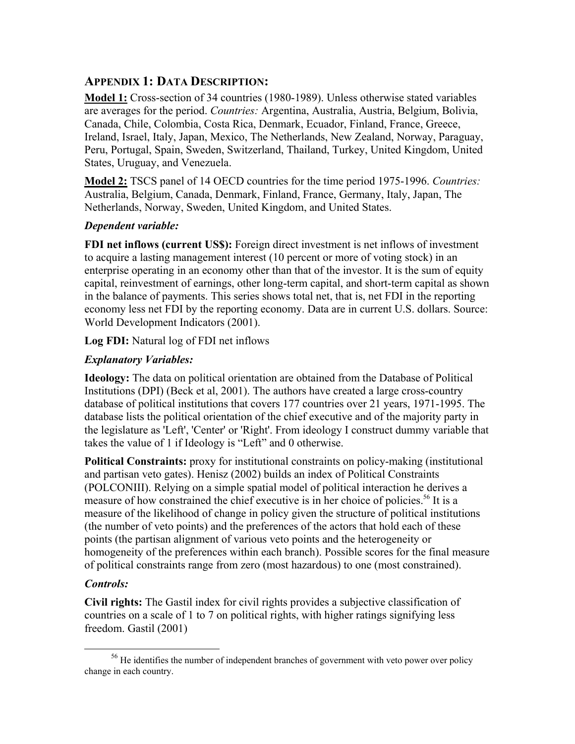## **APPENDIX 1: DATA DESCRIPTION:**

**Model 1:** Cross-section of 34 countries (1980-1989). Unless otherwise stated variables are averages for the period. *Countries:* Argentina, Australia, Austria, Belgium, Bolivia, Canada, Chile, Colombia, Costa Rica, Denmark, Ecuador, Finland, France, Greece, Ireland, Israel, Italy, Japan, Mexico, The Netherlands, New Zealand, Norway, Paraguay, Peru, Portugal, Spain, Sweden, Switzerland, Thailand, Turkey, United Kingdom, United States, Uruguay, and Venezuela.

**Model 2:** TSCS panel of 14 OECD countries for the time period 1975-1996. *Countries:* Australia, Belgium, Canada, Denmark, Finland, France, Germany, Italy, Japan, The Netherlands, Norway, Sweden, United Kingdom, and United States.

## *Dependent variable:*

**FDI net inflows (current US\$):** Foreign direct investment is net inflows of investment to acquire a lasting management interest (10 percent or more of voting stock) in an enterprise operating in an economy other than that of the investor. It is the sum of equity capital, reinvestment of earnings, other long-term capital, and short-term capital as shown in the balance of payments. This series shows total net, that is, net FDI in the reporting economy less net FDI by the reporting economy. Data are in current U.S. dollars. Source: World Development Indicators (2001).

**Log FDI:** Natural log of FDI net inflows

# *Explanatory Variables:*

**Ideology:** The data on political orientation are obtained from the Database of Political Institutions (DPI) (Beck et al, 2001). The authors have created a large cross-country database of political institutions that covers 177 countries over 21 years, 1971-1995. The database lists the political orientation of the chief executive and of the majority party in the legislature as 'Left', 'Center' or 'Right'. From ideology I construct dummy variable that takes the value of 1 if Ideology is "Left" and 0 otherwise.

**Political Constraints:** proxy for institutional constraints on policy-making (institutional and partisan veto gates). Henisz (2002) builds an index of Political Constraints (POLCONIII). Relying on a simple spatial model of political interaction he derives a measure of how constrained the chief executive is in her choice of policies.<sup>56</sup> It is a measure of the likelihood of change in policy given the structure of political institutions (the number of veto points) and the preferences of the actors that hold each of these points (the partisan alignment of various veto points and the heterogeneity or homogeneity of the preferences within each branch). Possible scores for the final measure of political constraints range from zero (most hazardous) to one (most constrained).

## *Controls:*

**Civil rights:** The Gastil index for civil rights provides a subjective classification of countries on a scale of 1 to 7 on political rights, with higher ratings signifying less freedom. Gastil (2001)

<sup>&</sup>lt;sup>56</sup> He identifies the number of independent branches of government with veto power over policy change in each country.